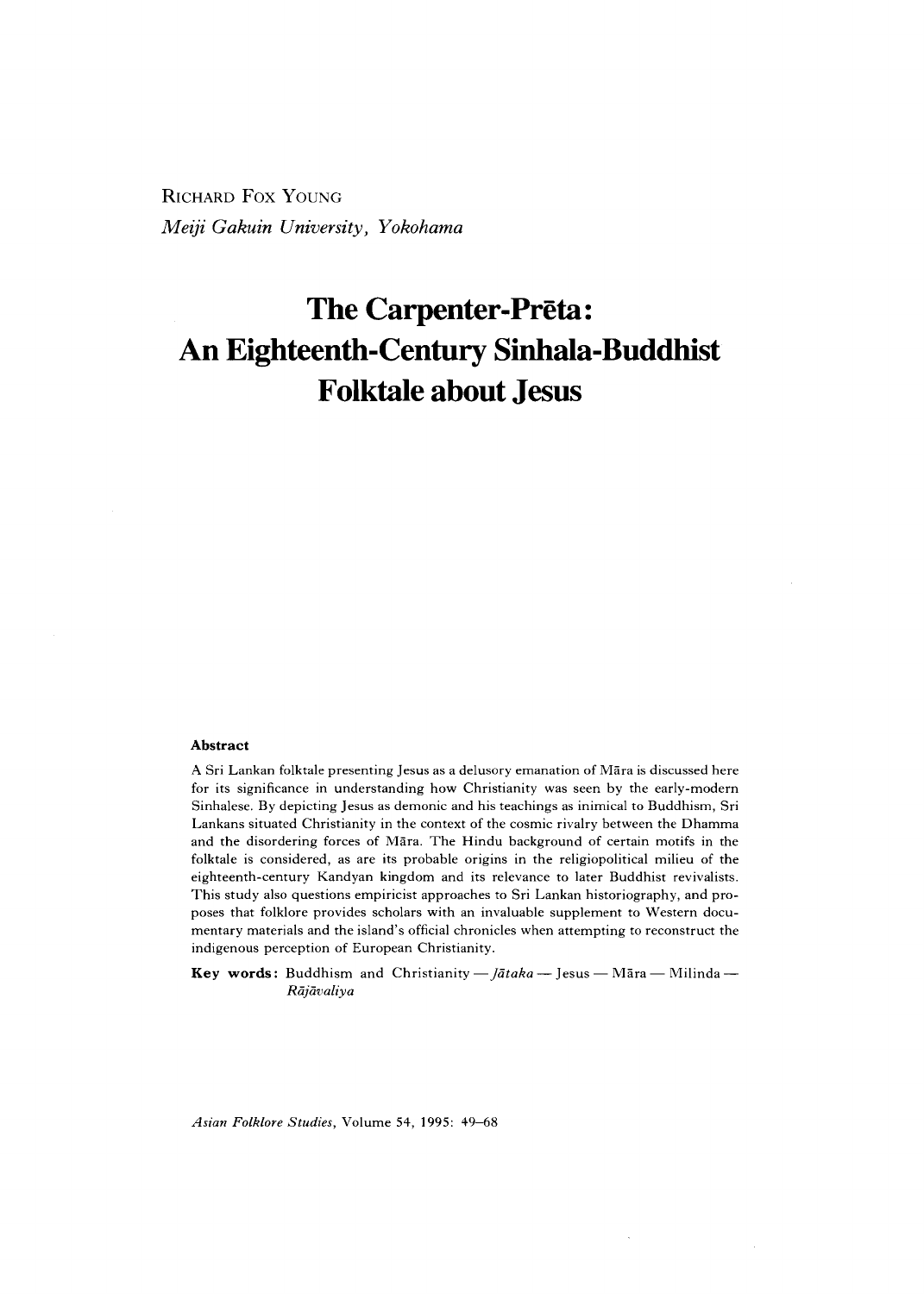RICHARD FOX YOUNG *Meiji Gakuin University,Yokohama*

# **The Carpenter-Preta: An Eighteenth-Century Sinhala-Buddhist Folktale about Jesus**

#### Abstract

A Sri Lankan folktale presenting Jesus as a delusory emanation of Mara is discussed here for its significance in understanding how Christianity was seen by the early-modern Sinhalese. By depicting Jesus as demonic and his teachings as inimical to Buddhism, Sri Lankans situated Christianity in the context of the cosmic rivalry between the Dhamma and the disordering forces of Mara. The Hindu background of certain motifs in the folktale is considered, as are its probable origins in the religiopolitical milieu of the eighteenth-century Kandyan kingdom and its relevance to later Buddhist revivalists. This study also questions empiricist approaches to Sri Lankan historiography, and proposes that folklore provides scholars with an invaluable supplement to Western documentary materials and the island's official chronicles when attempting to reconstruct the indigenous perception of European Christianity.

Key words: Buddhism and Christianity - *Jātaka* - Jesus - Māra - Milinda -*Rajavaliya*

*Asian Folklore Studies,* Volume 54 1995: 49-68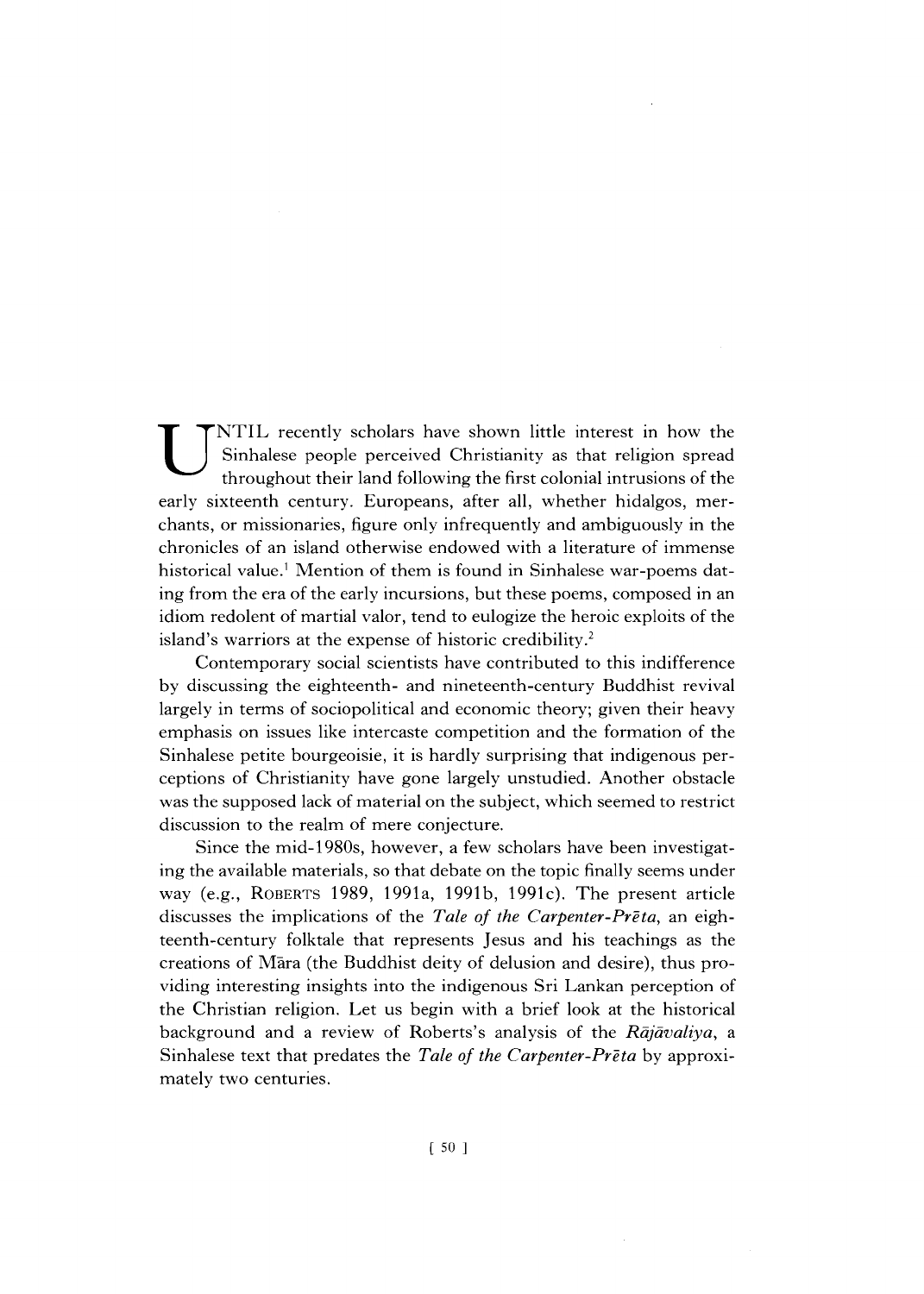NTIL recently scholars have shown little interest in how the Sinhalese people perceived Christianity as that religion spread throughout their land following the first colonial intrusions of the early sixteenth century. Europeans, after all, whether hidalgos, merchants, or missionaries, figure only infrequently and ambiguously in the chronicles of an island otherwise endowed with a literature of immense historical value.<sup>1</sup> Mention of them is found in Sinhalese war-poems dating from the era of the early incursions, but these poems, composed in an idiom redolent of martial valor, tend to eulogize the heroic exploits of the island's warriors at the expense of historic credibility.<sup>2</sup>

Contemporary social scientists have contributed to this indifference by discussing the eighteenth- and nineteenth-century Buddhist revival largely in terms of sociopolitical and economic theory; given their heavy emphasis on issues like intercaste competition and the formation of the Sinhalese petite bourgeoisie, it is hardly surprising that indigenous perceptions of Christianity have gone largely unstudied. Another obstacle was the supposed lack of material on the subject, which seemed to restrict discussion to the realm of mere conjecture.

Since the mid-1980s, however, a few scholars have been investigating the available materials, so that debate on the topic finally seems under way (e.g., ROBERTS 1989, 1991a, 1991b, 1991c). The present article discusses the implications of the *Tale of the Carpenter-Preta,* an eighteenth-century folktale that represents Jesus and his teachings as the creations of Mara (the Buddhist deity of delusion and desire), thus providing interesting insights into the indigenous Sri Lankan perception of the Christian religion. Let us begin with a brief look at the historical background and a review of Roberts^ analysis of the *Rajavaliya,* a Sinhalese text that predates the *Tale of the Carpenter-Preta* by approximately two centuries.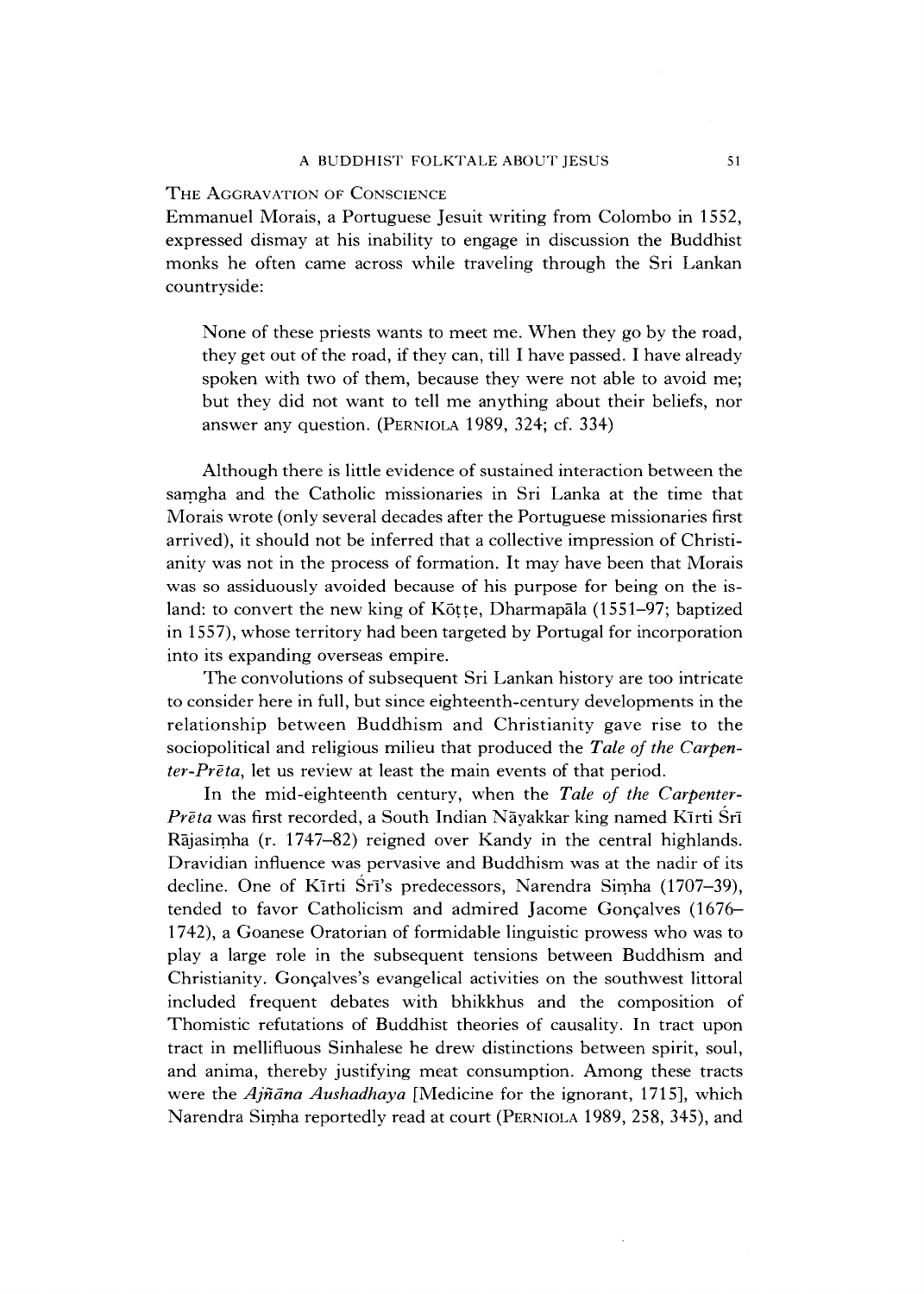### THE AGGRAVATION OF CONSCIENCE

Emmanuel Morais, a Portuguese Jesuit writing from Colombo in 1552, expressed dismay at his inability to engage in discussion the Buddhist monks he often came across while traveling through the Sri Lankan countryside:

None of these priests wants to meet me. When they *go* by the road, they get out of the road, if they can, till I have passed. I have already spoken with two of them, because they were not able to avoid me; but they did not want to tell me anything about their beliefs, nor answer any question. (PERNIOLA 1989, 324; cf. 334)

Although there is little evidence of sustained interaction between the samgha and the Catholic missionaries in Sri Lanka at the time that Morais wrote (only several decades after the Portuguese missionaries first arrived), it should not be inferred that a collective impression of Christianity was not in the process of formation. It may have been that Morais was so assiduously avoided because of his purpose for being on the island: to convert the new king of Kötte, Dharmapala (1551–97; baptized in 1557), whose territory had been targeted by Portugal for incorporation into its expanding overseas empire.

The convolutions of subsequent Sri Lankan history are too intricate to consider here in full, but since eighteenth-century developments in the relationship between Buddhism and Christianity gave rise to the sociopolitical and religious milieu that produced the *Tale of the Carpenter-Preta,* let us review at least the main events of that period.

In the mid-eighteenth century, when the *Tale of the Carpenter-Prēta* was first recorded, a South Indian Nāyakkar king named Kīrti Śrī Rājasimha (r. 1747–82) reigned over Kandy in the central highlands. Dravidian influence was pervasive and Buddhism was at the nadir ot its decline. One of Kīrti *Sr*ī's predecessors, Narendra Simha (1707–39), tended to favor Catholicism and admired Jacome Gonçalves (1676– 1742), a Goanese Oratorian of formidable linguistic prowess who was to play a large role in the subsequent tensions between Buddhism and Christianity. Gongalves's evangelical activities on the southwest littoral included frequent debates with bhikKhus and the composition of Thomistic refutations of Buddhist theories of causality. In tract upon tract in mellifluous Sinhalese he drew distinctions between spirit, soul, and anima, thereby justifying meat consumption. Among these tracts were the *Ajñāna Aushadhaya* [Medicine for the ignorant, 1715], which Narendra Simha reportedly read at court (PERNIOLA 1989, 258, 345), and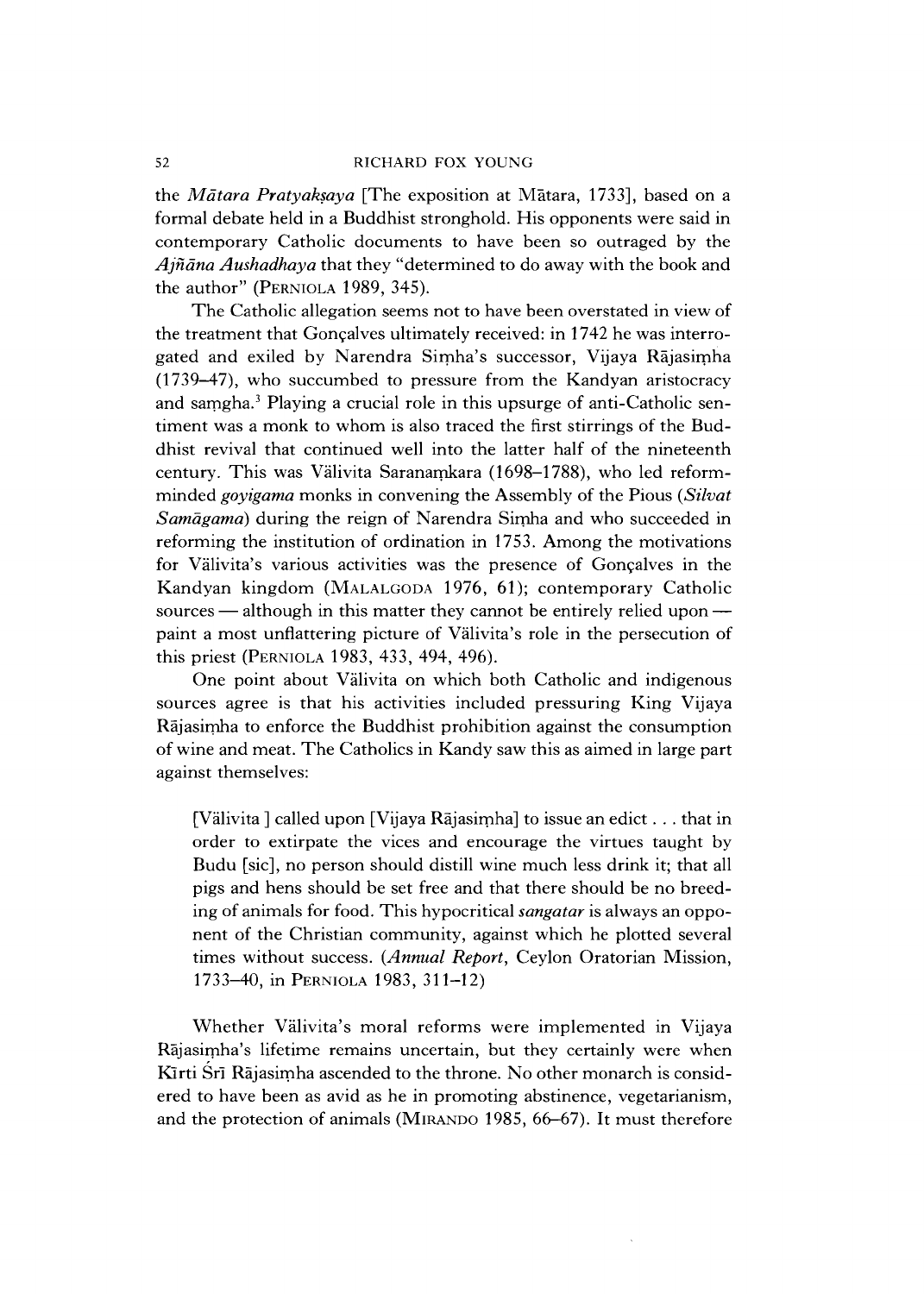the *Mātara Pratyaksaya* [The exposition at Mātara, 1733], based on a formal debate held in a Buddhist stronghold. His opponents were said in contemporary Catholic documents to have been so outraged by the *Ajnana Aushadhaya* that they "determined to do away with the book and the author" (PERNIOLA 1989, 345).

The Catholic allegation seems not to have been overstated in view of the treatment that Gongalves ultimately received: in 1742 he was interrogated and exiled by Narendra Sirpha's successor, Vijaya Rajasimha  $(1739-47)$ , who succumbed to pressure from the Kandyan aristocracy and samgha.3 Playing a crucial role in this upsurge of anti-Catholic sentiment was a monk to whom is also traced the first stirrings of the Buddhist revival that continued well into the latter half of the nineteenth century. This was Välivita Saranamkara (1698–1788), who led reformminded *goyigama* monks in convening the Assembly of the Pious *(Silvat Samāgama*) during the reign of Narendra Simha and who succeeded in reforming the institution of ordination in 1753. Among the motivations for Välivita's various activities was the presence of Gonçalves in the Kandyan kingdom (MALALGODA 1976, 61); contemporary Catholic sources — although in this matter they cannot be entirely relied upon paint a most unflattering picture of Valivita's role in the persecution of this priest (PERNIOLA 1983, 433, 494, 496).

One point about Valivita on which both Catholic and indigenous sources agree is that his activities included pressuring King Vijaya Rajasimha to enforce the Buddhist prohibition against the consumption of wine and meat. The catholics in Kandy saw this as aimed in large part against themselves:

[Valivita ] called upon [Vijaya Rajasimha] to issue an edict . . . that in order to extirpate the vices and encourage the virtues taught by Budu [sic], no person should distill wine much less drink it; that all pigs and hens should be set free and that there should be no breeding of animals for food. This hypocritical *sangatar* is always an opponent of the Christian community, against which he plotted several times without success. *(Annual Report,* Ceylon Oratorian Mission, 1733-40, in Perniola 1983, 311-12)

Whether Välivita's moral reforms were implemented in Vijaya Rājasimha's lifetime remains uncertain, but they certainly were when Kirti Sri Rājasimha ascended to the throne. No other monarch is considered to have been as avid as he in promoting abstinence, vegetarianism, and the protection of animals (MIRANDO 1985, 66–67). It must therefore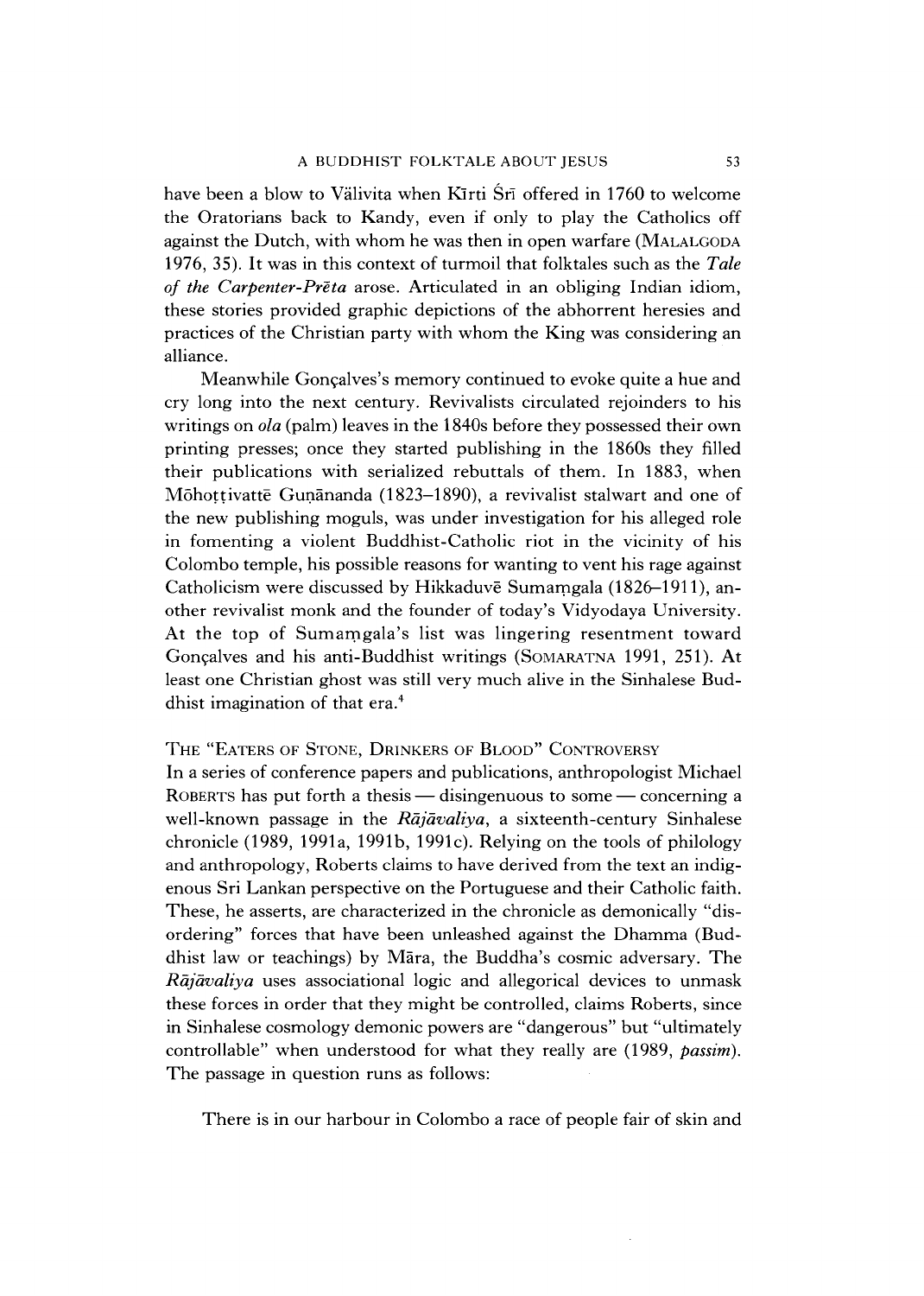have been a blow to Välivita when Kīrti Śrī offered in 1760 to welcome the Oratorians back to Kandy, even if only to play the Catholics off against the Dutch, with whom he was then in open warfare (MALALGODA) 1976, 35). It was in this context of turmoil that folktales such as the *Tale of the Carpenter-Preta* arose. Articulated in an obliging Indian idiom, these stories provided graphic depictions of the abhorrent heresies and practices of the Christian party with whom the King was considering an alliance.

Meanwhile Gongalves's memory continued to evoke quite a hue and cry long into the next century. Revivalists circulated rejoinders to his writings on *ola* (palm) leaves in the 1840s before they possessed their own printing presses; once they started publishing in the 1860s they filled their publications with serialized rebuttals of them. In 1883, when Mōhottivattē Gunānanda (1823-1890), a revivalist stalwart and one of the new publishing moguls, was under investigation for his alleged role in fomenting a violent Buddhist-Catholic riot in the vicinity of his Colombo temple, his possible reasons for wanting to vent his rage against Catholicism were discussed by Hikkaduve Sumamgala (1826-1911), another revivalist monk and the founder of today's Vidyodaya University. At the top of Sumamgala's list was lingering resentment toward Gongalves and his anti-Buddhist writings (SOMARATNA 1991, 251). At least one Christian ghost was still very much alive in the Sinhalese Buddhist imagination of that era.<sup>4</sup>

### THE "EATERS OF STONE, DRINKERS OF BLOOD" CONTROVERSY

In a series of conference papers and publications, anthropologist Michael ROBERTS has put forth a thesis — disingenuous to some — concerning a well-known passage in the *Rajavaliya,* a sixteenth-century Sinhalese chronicle (1989, 1991a, 1991b, 1991c). Relying on the tools of philology and anthropology, Roberts claims to have derived from the text an indigenous Sri Lankan perspective on the Portuguese and their Catholic faith. These, he asserts, are characterized in the chronicle as demonically "disordering" forces that have been unleashed against the Dhamma (Buddhist law or teachings) by Mara, the Buddha's cosmic adversary. The *Rajavaliya* uses associational logic and allegorical devices to unmask these forces in order that they might be controlled, claims Roberts, since in Sinhalese cosmology demonic powers are "dangerous" but "ultimately controllable" when understood for what they really are (1989, *passim).* The passage in question runs as follows:

There is in our harbour in Colombo a race of people fair of skin and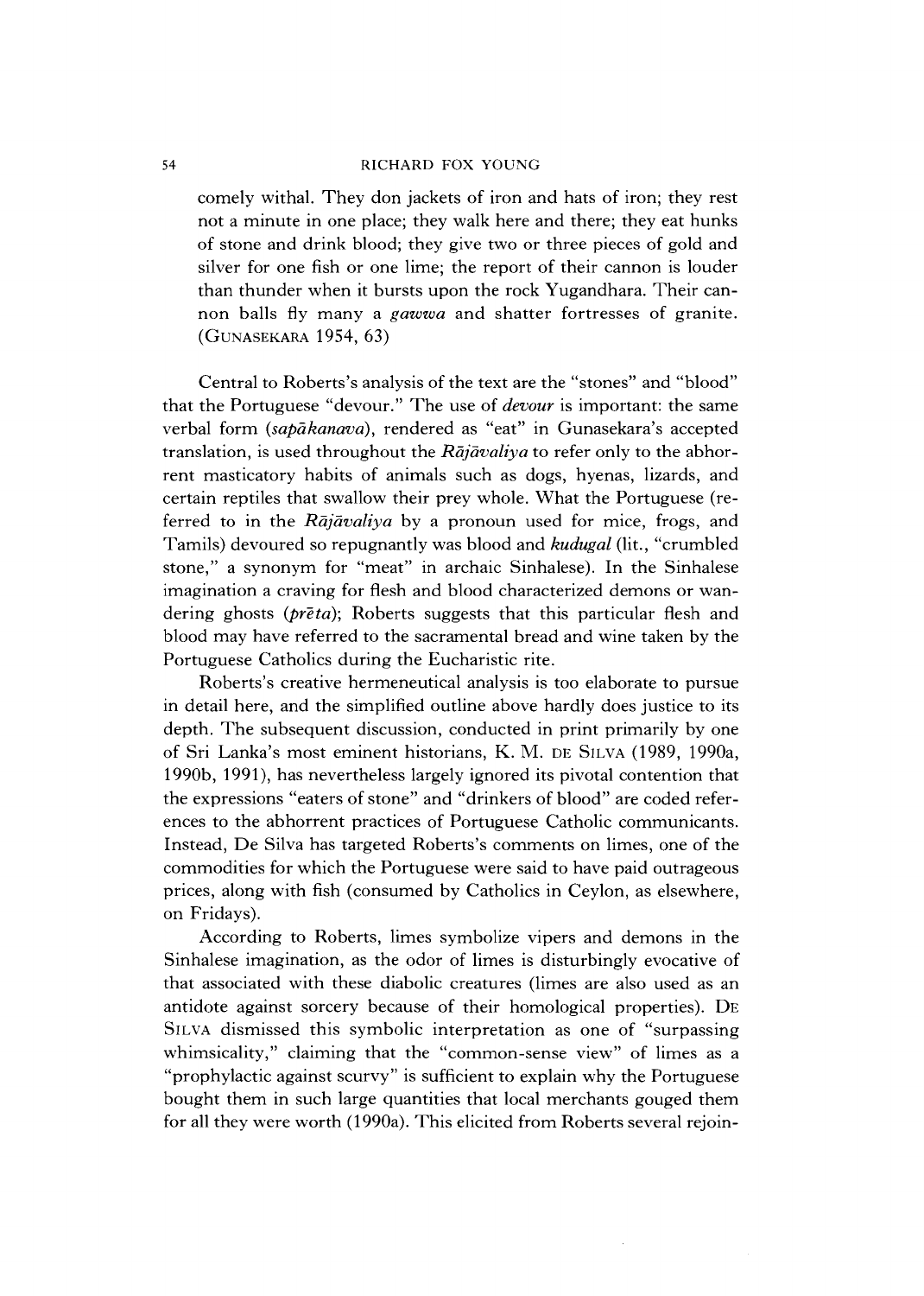comely withal. They don jackets of iron and hats of iron; they rest not a minute in one place; they walk here and there; they eat hunks of stone and drink blood; they give two or three pieces of gold and silver for one fish or one lime; the report of their cannon is louder than thunder when it bursts upon the rock Yugandhara. Their cannon balls fly many a *gawwa* and shatter fortresses of granite. (GUNASEKARA 1954, 63)

Central to Roberts's analysis of the text are the "stones" and "blood" that the Portuguese "devour." The use of *devour* is important: the same verbal form *(sapākanava)*, rendered as "eat" in Gunasekara's accepted translation, is used throughout the *Rajavaliya* to refer only to the abhorrent masticatory habits of animals such as dogs, hyenas, lizards, and certain reptiles that swallow their prey whole. What the Portuguese (referred to in the *Rajavaliya* by a pronoun used for mice, frogs, and Tamils) devoured so repugnantly was blood and *kudugal* (lit., "crumbled stone," a synonym for "meat" in archaic Sinhalese). In the Sinhalese imagination a craving for flesh and blood characterized demons or wandering ghosts *(preta);* Roberts suggests that this particular flesh and blood may have referred to the sacramental bread and wine taken by the Portuguese Catholics during the Eucharistic rite.

Roberts's creative hermeneutical analysis is too elaborate to pursue in detail here, and the simplified outline above hardly does justice to its depth. The subsequent discussion, conducted in print primarily by one of Sri Lanka's most eminent historians, K. M. de Silva (1989, 1990a, 1990b, 1991), has nevertheless largely ignored its pivotal contention that the expressions "eaters of stone" and "drinkers of blood" are coded references to the abhorrent practices of Portuguese Catholic communicants. Instead, De Silva has targeted Roberts's comments on limes, one of the commodities for which the Portuguese were said to have paid outrageous prices, along with fish (consumed by Catholics in Ceylon, as elsewhere, on Fridays).

According to Roberts, limes symbolize vipers and demons in the Sinhalese imagination, as the odor of limes is disturbingly evocative of that associated with these diabolic creatures (limes are also used as an antidote against sorcery because of their homological properties). De Silva dismissed this symbolic interpretation as one of "surpassing whimsicality," claiming that the "common-sense view" of limes as a "prophylactic against scurvy" is sufficient to explain why the Portuguese bought them in such large quantities that local merchants gouged them for all they were worth (1990a). This elicited from Roberts several rejoin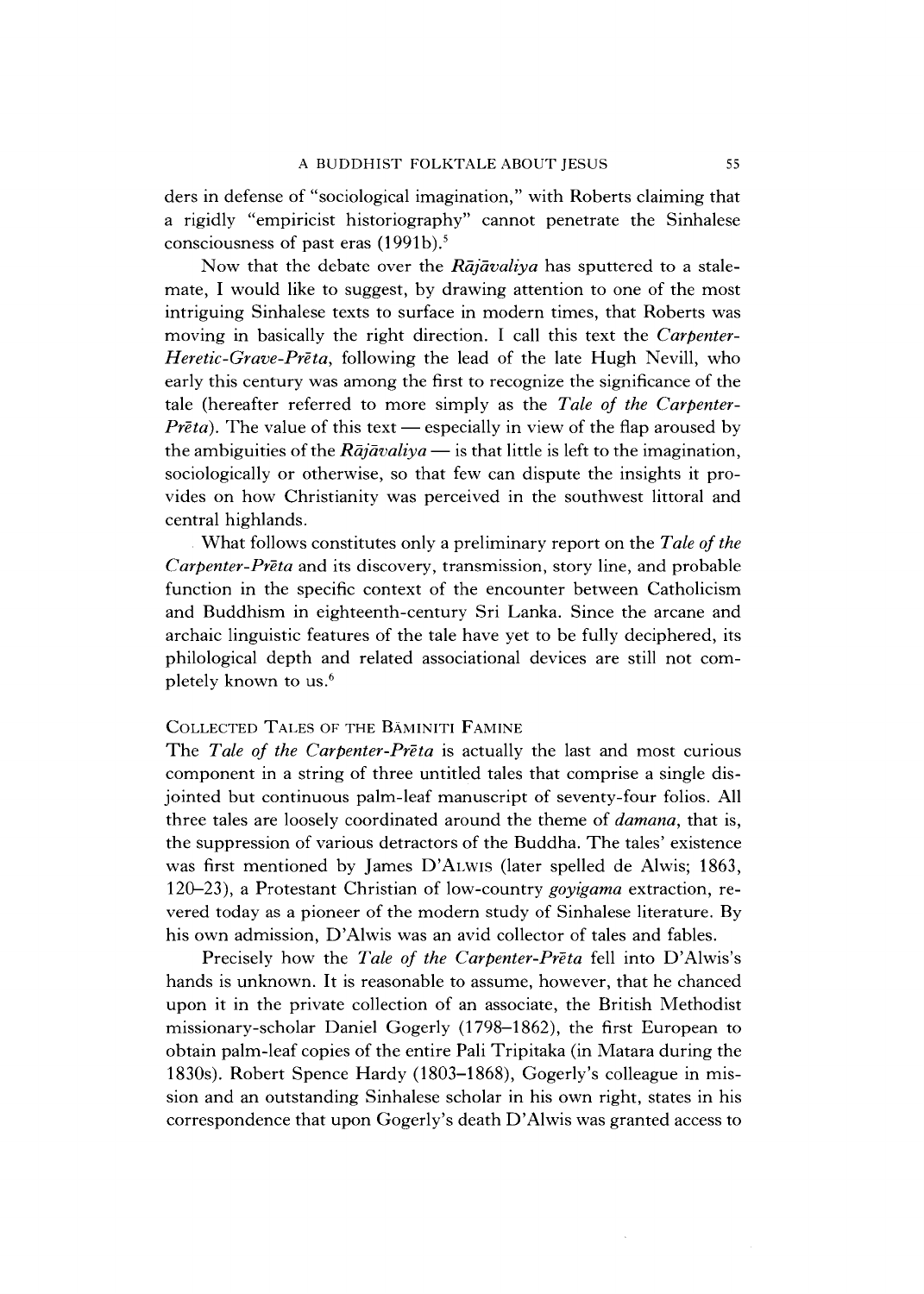ders in defense of "sociological imagination," with Roberts claiming that a rigidly "empiricist historiography" cannot penetrate the Sinhalese consciousness of past eras  $(1991b)$ .<sup>5</sup>

Now that the debate over the *Rajavaliya* has sputtered to a stalemate, I would like to suggest, by drawing attention to one of the most intriguing Sinhalese texts to surface in modern times, that Roberts was moving in basically the right direction. I call this text the *Carpenter-Heretic-Grave-Preta,* following the lead of the late Hugh Nevill, who early this century was among the first to recognize the significance of the tale (hereafter referred to more simply as the *Tale of the Carpenter-* $Pr\bar{e}ta$ ). The value of this text — especially in view of the flap aroused by the ambiguities of the  $R\bar{a}j\bar{a}valiva$  — is that little is left to the imagination, sociologically or otherwise, so that few can dispute the insights it provides on how Christianity was perceived in the southwest littoral and central highlands.

What follows constitutes only a preliminary report on the *Tale of the Carpenter-Preta* and its discovery, transmission, story line, and probable function in the specific context of the encounter between Catholicism and Buddhism in eighteenth-century Sri Lanka. Since the arcane and archaic linguistic features of the tale have yet to be fully deciphered, its philological depth and related associational devices are still not completely known to us.<sup>6</sup>

## Collected Tales of the Baminiti Famine

The *Tale of the Carpenter-Preta* is actually the last and most curious component in a string of three untitled tales that comprise a single disjointed but continuous palm-leaf manuscript of seventy-four folios. All three tales are loosely coordinated around the theme of *damana,* that is, the suppression of various detractors of the Buddha. The tales' existence was first mentioned by James D'ALWIS (later spelled de Alwis; 1863, 120-23), a Protestant Christian of low-country *goyigama* extraction, revered today as a pioneer of the modern study of Sinhalese literature. By his own admission, D'Alwis was an avid collector of tales and fables.

Precisely how the *Tale of the Carpenter-Preta* fell into D'Alwis's hands is unknown. It is reasonable to assume, however, that he chanced upon it in the private collection of an associate, the British Methodist missionary-scholar Daniel Gogerly (1798–1862), the first European to obtain palm-leaf copies of the entire Pali Tripitaka (in Matara during the 1830s). Robert Spence Hardy (1803–1868), Gogerly's colleague in mission and an outstanding Sinhalese scholar in his own right, states in his correspondence that upon Gogerly's death D 'Alwis was granted access to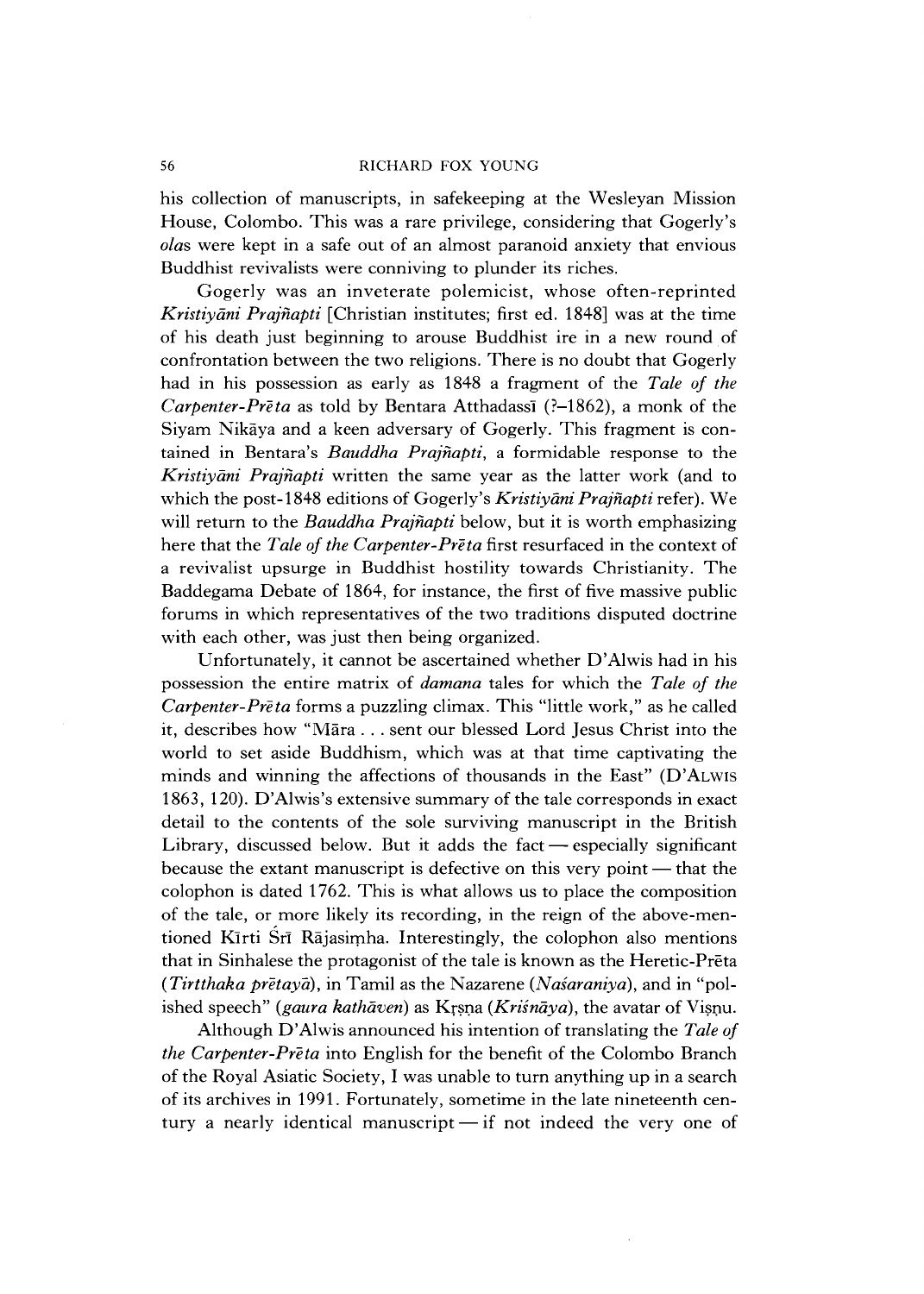his collection of manuscripts, in safekeeping at the Wesleyan Mission House, Colombo. This was a rare privilege, considering that Gogerly's *olas* were kept in a safe out of an almost paranoid anxiety that envious Buddhist revivalists were conniving to plunder its riches.

Gogerly was an inveterate polemicist, whose often-reprinted *Kristiyani Prajnapti* [Christian institutes; first ed.1848] was at the time of his death just beginning to arouse Buddhist ire in a new round of confrontation between the two religions. There is no doubt that Gogerly had in his possession as early as 1848 a fragment of the *Tale of the Carpenter-Prēta* as told by Bentara Atthadassī (?-1862), a monk of the Siyam Nikaya and a keen adversary of Gogerly.1 his fragment is contained in Bentara's *Bauddha Prajnapti,* a formidable response to the *Kristiyani Prajnapti* written the same year as the latter work (and to which the post-1848 editions of Gogerly's *Kristiyani Prajñapti* refer). We will return to the *Bauddha Prajñapti* below, but it is worth emphasizing here that the *Tale of the Carpenter-Preta* first resurfaced in the context of a revivalist upsurge in Buddhist hostility towards Christianity. The Baddegama Debate of 1864, for instance, the first of five massive public forums in which representatives of the two traditions disputed doctrine with each other, was just then being organized.

Unfortunately, it cannot be ascertained whether D 'Alwis had in his possession the entire matrix of *damana* tales for which the *Tale of the Carpenter-Pre ta* forms a puzzling climax. This "little work," as he called it, describes how "Mara . . . sent our blessed Lord Jesus Christ into the world to set aside Buddhism, which was at that time captivating the minds and winning the affections of thousands in the East" (D'ALWIS 1863, 120). D'Alwis's extensive summary of the tale corresponds in exact detail to the contents of the sole surviving manuscript in the British Library, discussed below. But it adds the fact — especially significant because the extant manuscript is defective on this very point — that the colophon is dated 1762. This is what allows us to place the composition of the tale, or more likely its recording, in the reign of the above-mentioned Kīrti Srī Rājasimha. Interestingly, the colophon also mentions that in Sinhalese the protagonist of the tale is known as the Heretic-Preta *(Tirtthaka pretaya),* in Tamil as the Nazarene *(Nasaraniya),* and in "polished speech" *(gaura kathāven)* as Krsņa *(Kriśnāya)*, the avatar of Visnu.

Although D'Alwis announced his intention of translating the *Tale of the Carpenter-Pre ta* into English for the benefit of the Colombo Branch of the Royal Asiatic Society, I was unable to turn anything up in a search of its archives in 1991. Fortunately, sometime in the late nineteenth century a nearly identical manuscript — if not indeed the very one of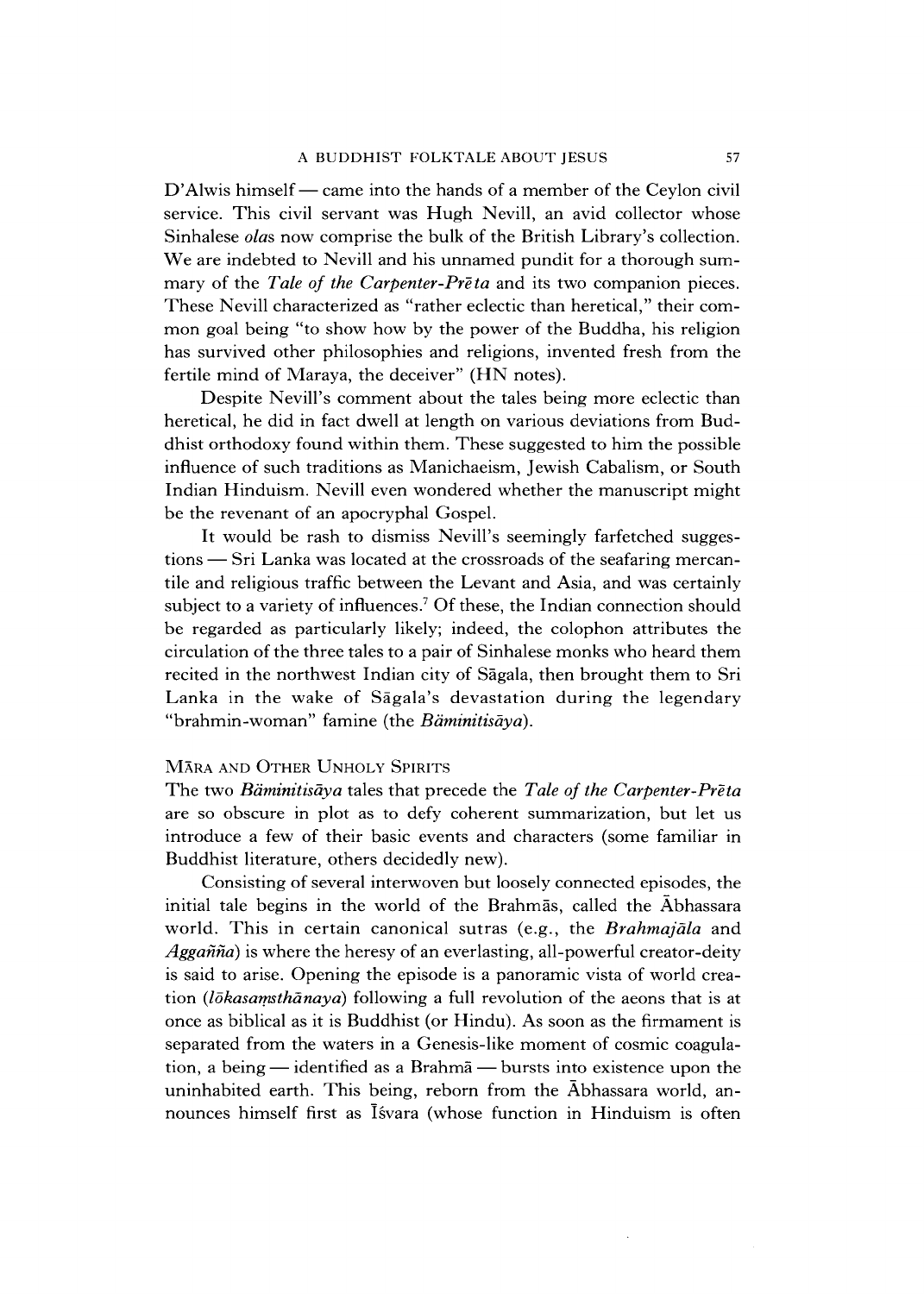D'Alwis himself — came into the hands of a member of the Ceylon civil service. This civil servant was Hugh Nevill, an avid collector whose Sinhalese *olas* now comprise the bulk of the British Library's collection. We are indebted to Nevill and his unnamed pundit for a thorough summary of the *Tale of the Carpenter-Preta* and its two companion pieces. These Nevill characterized as "rather eclectic than heretical," their common goal being "to show how by the power of the Buddha, his religion has survived other philosophies and religions, invented fresh from the fertile mind of Maraya, the deceiver" (HN notes).

Despite Nevill's comment about the tales being more eclectic than heretical, he did in fact dwell at length on various deviations from Buddhist orthodoxy found within them. These suggested to him the possible influence of such traditions as Manichaeism, Jewish Cabalism, or South Indian Hinduism. Nevill even wondered whether the manuscript might be the revenant of an apocryphal Gospel.

It would be rash to dismiss Nevill's seemingly farfetched suggestions — Sri Lanka was located at the crossroads of the seafaring mercantile and religious traffic between the Levant and Asia, and was certainly subject to a variety of influences.<sup>7</sup> Of these, the Indian connection should be regarded as particularly likely; indeed, the colophon attributes the circulation of the three tales to a pair of Sinhalese monks who heard them recited in the northwest Indian city of Sagala, then brought them to Sri Lanka in the wake of Sagala's devastation during the legendary "brahmin-woman" famine (the *Bamimtisaya).*

# MĀRA AND OTHER UNHOLY SPIRITS

The two *Bamimtisaya* tales that precede the *Tale of the Carpenter-Preta* are so obscure in plot as to defy coherent summarization, but let us introduce a few of their basic events and characters (some familiar in Buddhist literature, others decidedly new).

consisting of several interwoven but loosely connected episodes, the initial tale begins in the world of the Brahmas, called the Abhassara world. Tms in certain canonical sutras (e.g., the *Brahmajala* and *Agganna)* is where the heresy of an everlasting, all-powerful creator-deity is said to arise. Opening the episode is a panoramic vista of world creation *(lokasamstha nay a)* following a full revolution of the aeons that is at once as biblical as it is Buddhist (or Hindu). As soon as the firmament is separated from the waters in a Genesis-like moment of cosmic coagulation, a being — identified as a Brahma — bursts into existence upon the uninhabited earth. This being, reborn from the Abhassara world, announces himself first as Isvara (whose function in Hinduism is often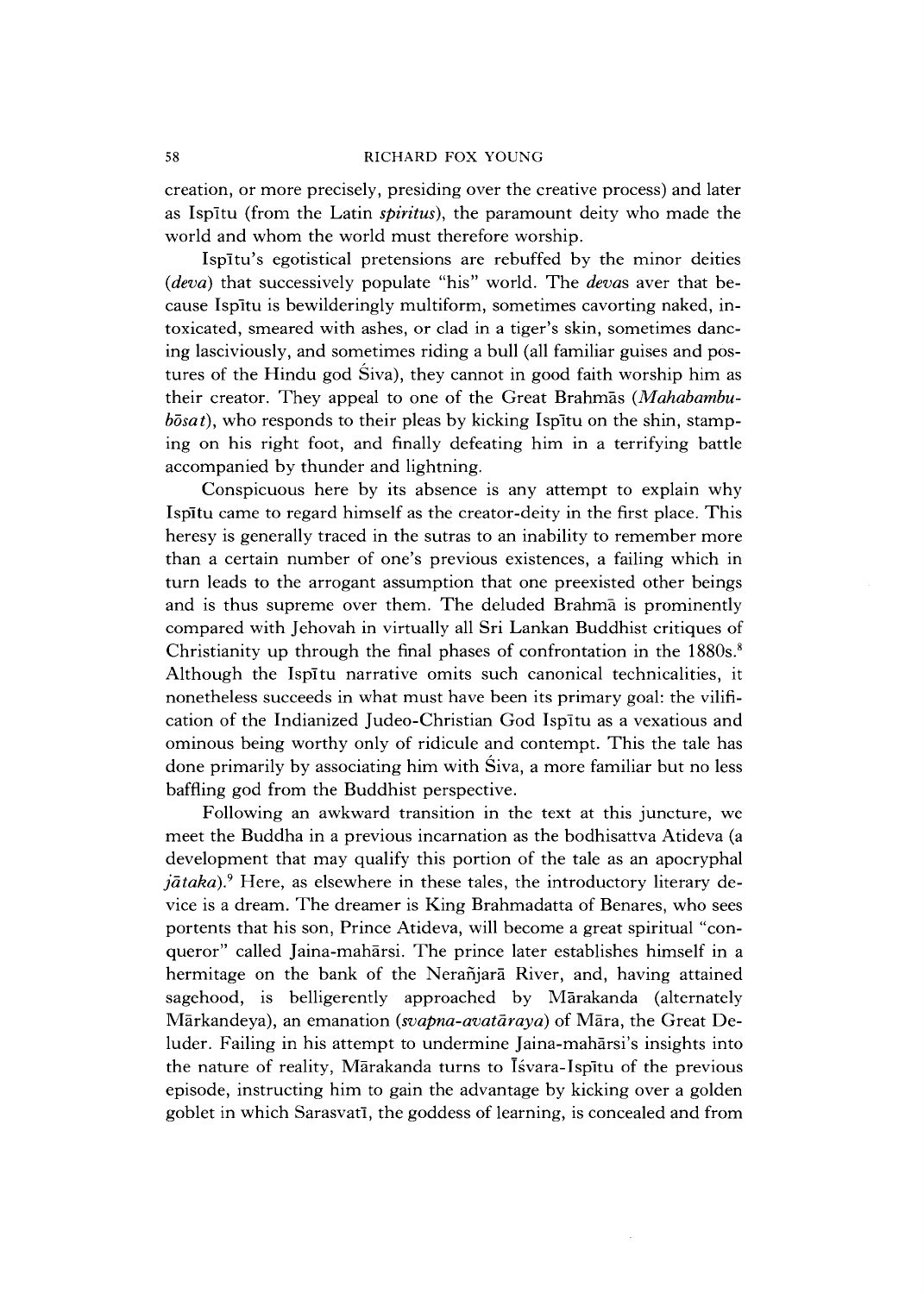creation, or more precisely, presiding over the creative process) and later as Ispitu (from the Latin *spiritus),* the paramount deity who made the world and whom the world must therefore worship.

Ispltu's egotistical pretensions are rebuffed by the minor deities *(deva)* that successively populate "his" world. The *devas* aver that because Ispitu is bewilderingly multiform, sometimes cavorting naked, intoxicated, smeared with ashes, or clad in a tiger's skin, sometimes dancing lasciviously, and sometimes riding a bull (all familiar guises and postures of the Hindu god Siva), they cannot in good faith worship him as their creator. They appeal to one of the Great Brahmas *(Mahabambu* $b\bar{o} sat$ ), who responds to their pleas by kicking Ispitu on the shin, stamping on his right foot, and finally defeating him in a terrifying battle accompanied by thunder and lightning.

Conspicuous here by its absence is any attempt to explain why Ispitu came to regard himself as the creator-deity in the first place. This heresy is generally traced in the sutras to an inability to remember more than a certain number of one's previous existences, a failing which in turn leads to the arrogant assumption that one preexisted other beings and is thus supreme over them. The deluded Brahma is prominently compared with Jehovah in virtually all Sri Lankan Buddhist critiques of Christianity up through the final phases of confrontation in the 1880s.<sup>8</sup> Although the Ispitu narrative omits such canonical technicalities, it nonetheless succeeds in what must have been its primary goal: the vilification of the Indianized Judeo-Christian God Ispitu as a vexatious and ominous being worthy only of ridicule and contempt. This the tale has done primarily by associating him with Siva, a more familiar but no less baffling god from the Buddhist perspective.

Following an awkward transition in the text at this juncture, we meet the Buddha in a previous incarnation as the bodhisattva Atideva (a development that may qualify this portion of the tale as an apocryphal *jātaka*).<sup>9</sup> Here, as elsewhere in these tales, the introductory literary device is a dream. The dreamer is King Brahmadatta of Benares, who sees portents that his son, Prince Atideva, will become a great spiritual "conqueror" called Jaina-maharsi. The prince later establishes himself in a hermitage on the bank of the Nerañjarā River, and, having attained sagehood, is belligerently approached by Marakanda (alternately Mārkandeya), an emanation *(svapna-avatāraya)* of Māra, the Great Deluder. Failing in his attempt to undermine Jaina-mahārsi's insights into the nature of reality, Mārakanda turns to Isvara-Ispītu of the previous episode, instructing him to gain the advantage by kicking over a golden goblet in which Sarasvatl, the goddess of learning, is concealed and from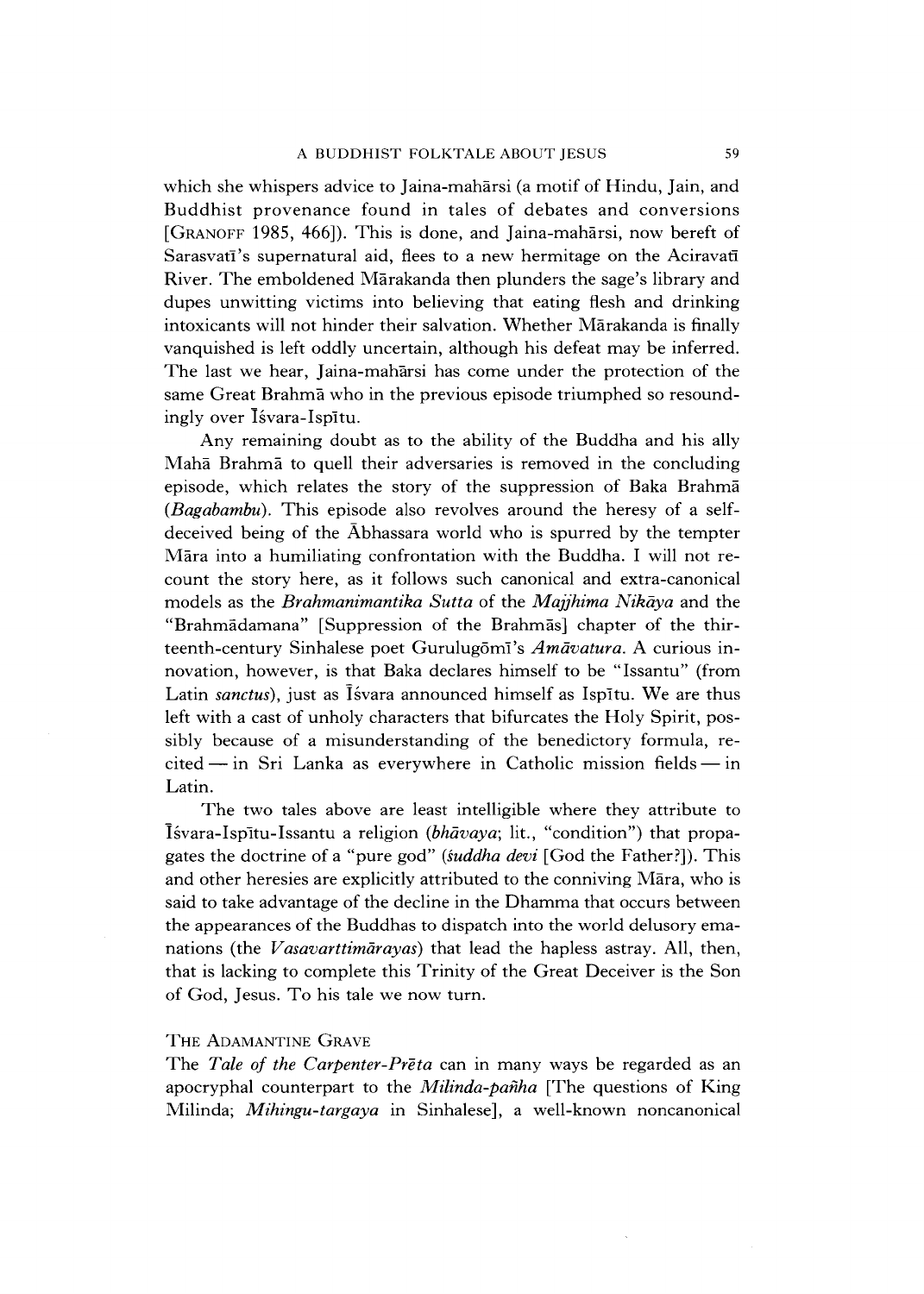which she whispers advice to Jaina-maharsi (a motif of Hindu, Jain, and Buddhist provenance found in tales of debates and conversions [GRANOFF 1985, 466]). This is done, and Jaina-maharsi, now bereft of Sarasvatī's supernatural aid, flees to a new hermitage on the Aciravatī River. The emboldened Marakanda then plunders the sage's library and dupes unwitting victims into believing that eating flesh and drinking intoxicants will not hinder their salvation. Whether Marakanda is finally vanquished is left oddly uncertain, although his defeat may be inferred. The last we hear, Jaina-maharsi has come under the protection of the same Great Brahma who in the previous episode triumphed so resoundingly over Isvara-Ispitu.

Any remaining doubt as to the ability of the Buddha and his ally Maha Brahma to quell their adversaries is removed in the concluding episode, which relates the story of the suppression of Baka Brahma *(Bagabambu).* This episode also revolves around the heresy of a selfdeceived being of the Abhassara world who is spurred by the tempter Mara into a humiliating confrontation with the Buddha. I will not recount the story here, as it follows such canonical and extra-canonical models as the *Brahmanimantika Sutta* of the *Majjnima Nikaya* and the "Brahmadamana" [Suppression of the Brahmas] chapter of the thirteenth-century Sinhalese poet Gurulugomi's *Amavatura*. A curious innovation, however, is that Baka declares himself to be "Issantu" (from Latin *sanctus*), just as Isvara announced himself as Ispitu. We are thus left with a cast of unholy characters that bifurcates the Holy Spirit, possibly because of a misunderstanding of the benedictory formula, recited — in Sri Lanka as everywhere in Catholic mission fields — in Latin.

The two tales above are least intelligible where they attribute to Isvara-Ispitu-Issantu a religion *(bhāvaya*; lit., "condition") that propagates the doctrine of a "pure god" *(suddha devi* [God the Father?]). This and other heresies are explicitly attributed to the conniving Mara, who is said to take advantage of the decline in the Dhamma that occurs between the appearances of the Buddhas to dispatch into the world delusory emanations (the *Vasavarttimarayas)* that lead the hapless astray. All, then, that is lacking to complete this Trinity of the Great Deceiver is the Son of God, Jesus. To his tale we now turn.

# THE ADAMANTINE GRAVE

The *Tale of the Carpenter-Preta* can in many ways be regarded as an apocryphal counterpart to the *Milinda-panha* [The questions of King Milinda; *Mihingu-targaya* in Sinhalese], a well-known noncanonical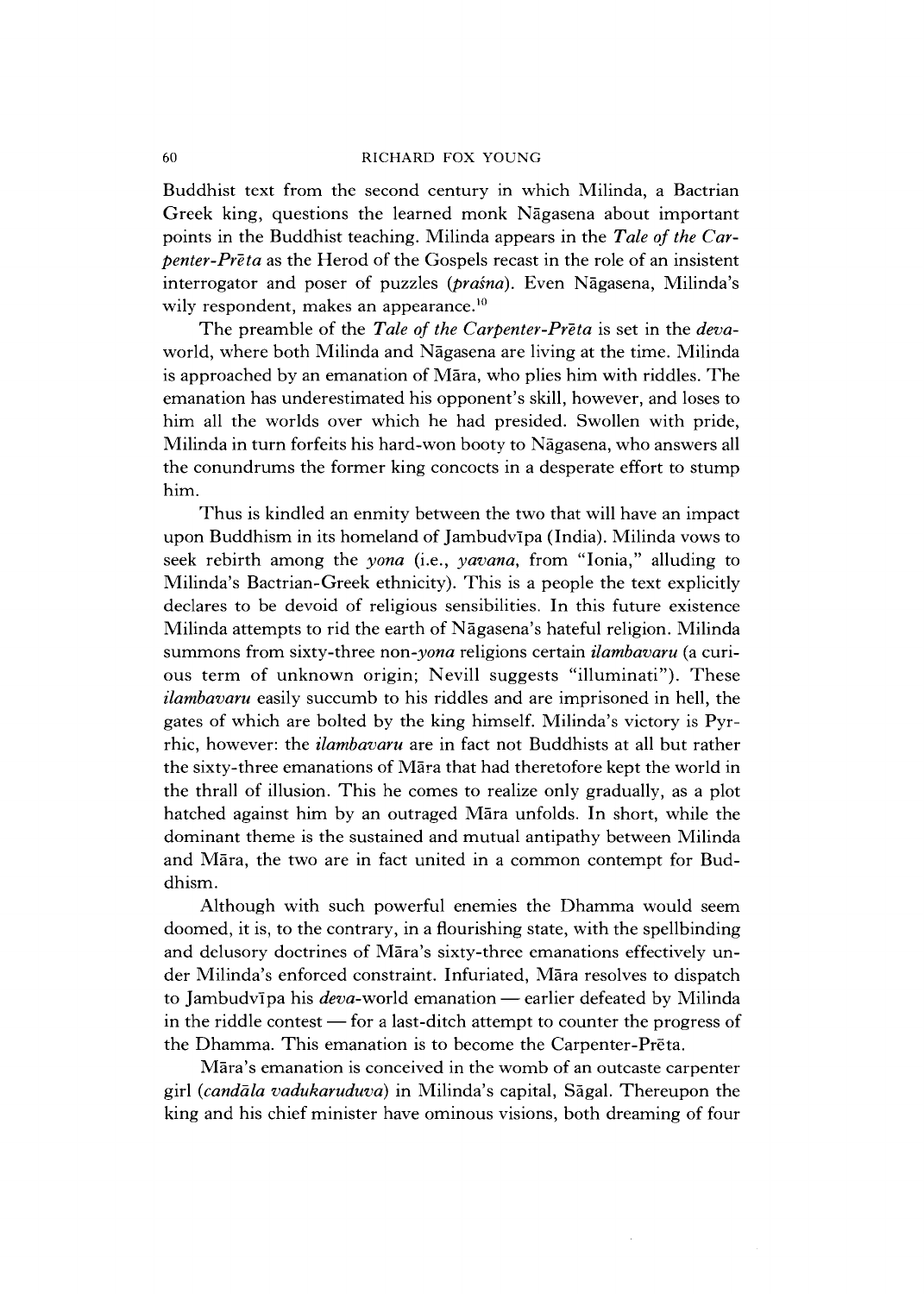Buddhist text from the second century in which Milinda, a Bactrian Greek king, questions the learned monk Nagasena about important points in the Buddhist teaching. Milinda appears in the *Tale of the Carpenter-Preta* as the Herod of the Gospels recast in the role of an insistent interrogator and poser of puzzles *(prasna).* Even Nagasena, Milinda's wily respondent, makes an appearance.<sup>10</sup>

The preamble of the *Tale of the Carpenter-Preta* is set in the *deva*world, where both Milinda and Nagasena are living at the time. Milinda is approached by an emanation of Mara, who plies him with riddles. The emanation has underestimated his opponent's skill, however, and loses to him all the worlds over which he had presided. Swollen with pride, Milinda in turn forfeits his hard-won booty to Nāgasena, who answers all the conundrums the former king concocts in a desperate effort to stump him.

Thus is kindled an enmity between the two that will have an impact upon Buddhism in its homeland of Jambudvipa (India). Milinda vows to seek rebirth among the *yona* (i.e., *yavana,* from "Ionia," alluding to Milinda's Bactrian-Greek ethnicity). This is a people the text explicitly declares to be devoid of religious sensibilities. In this future existence Milinda attempts to rid the earth of Nagasena's hateful religion. Milinda summons from sixty-three non-*yona* religions certain *ilambavaru* (a curious term of unknown origin; Nevill suggests "illuminati"). These *ilambavaru* easily succumb to his riddles and are imprisoned in hell, the gates of which are bolted by the king himself. Milinda's victory is  $Pyr$ rhic, however: the *ilambavaru* are in fact not Buddhists at all but rather the sixty-three emanations of Mara that had theretofore kept the world in the thrall of illusion. This he comes to realize only gradually, as a plot hatched against him by an outraged Mara unfolds. In short, while the dominant theme is the sustained and mutual antipathy between Milinda and Mara, the two are in fact united in a common contempt for Buddhism.

Although with such powerful enemies the Dhamma would seem doomed, it is, to the contrary, in a flourishing state, with the spellbinding and delusory doctrines of Mara's sixty-three emanations effectively under Milinda's enforced constraint. Infuriated, Māra resolves to dispatch to Jambudvipa his *deva-v^or\d* emanation — earlier defeated by Milinda in the riddle contest — for a last-ditch attempt to counter the progress of the Dhamma. This emanation is to become the Carpenter-Preta.

Mara's emanation is conceived in the womb of an outcaste carpenter girl *(candāla vadukaruduva)* in Milinda's capital, Sāgal. Thereupon the king and his chief minister have ominous visions, both dreaming of four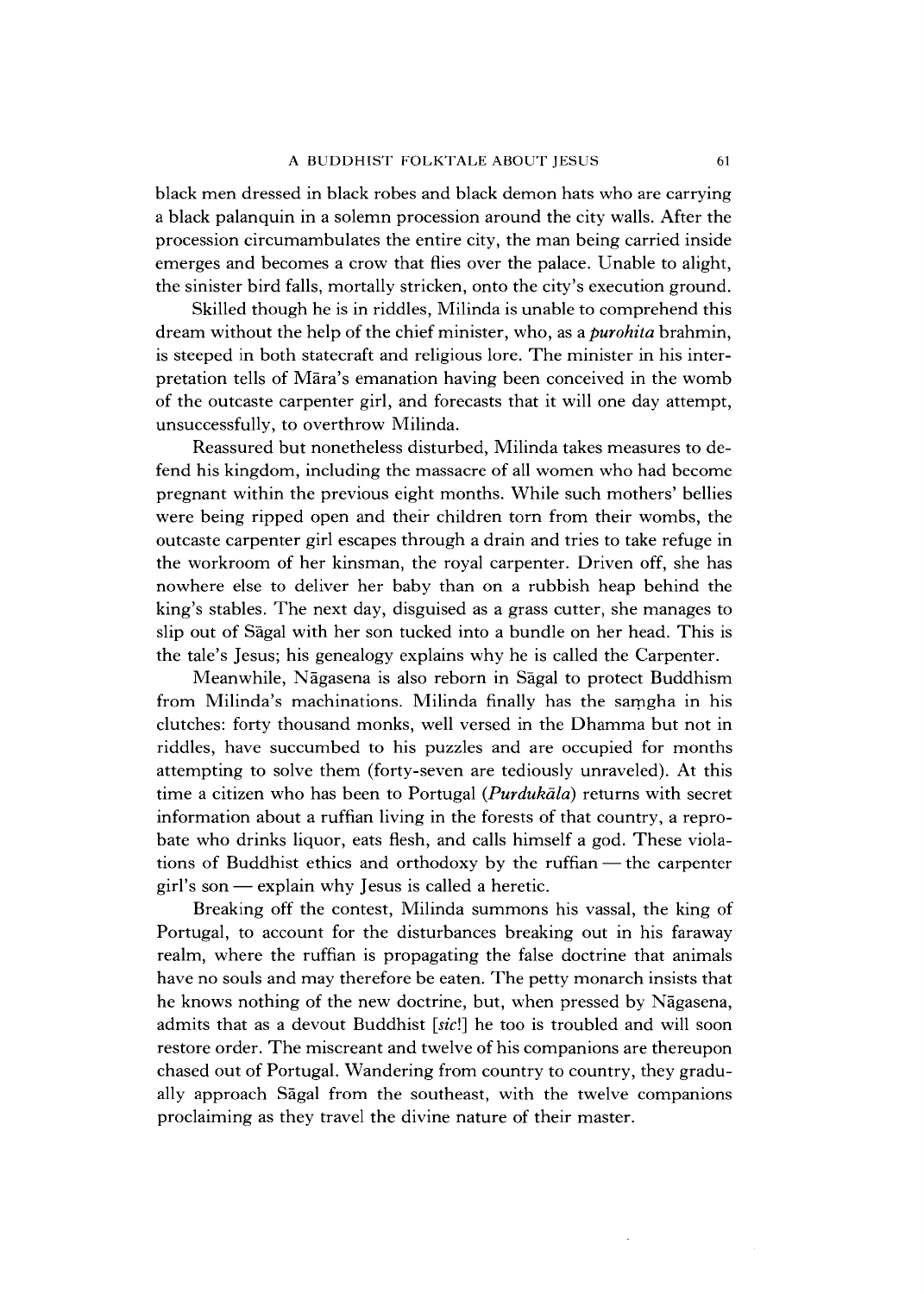black men dressed in black robes and black demon hats who are carrying a black palanquin in a solemn procession around the city walls. After the procession circumambulates the entire city, the man being carried inside emerges and becomes a crow that flies over the palace. Unable to alight, the sinister bird falls, mortally stricken, onto the city's execution ground.

Skilled though he is in riddles, Milinda is unable to comprehend this dream without the help of the chief minister, who, as a *purohita* brahmin, is steeped in both statecraft and religious lore. The minister in his interpretation tells of Mara's emanation having been conceived in the womb of the outcaste carpenter girl, and forecasts that it will one day attempt, unsuccessfully, to overthrow Milinda.

Reassured but nonetheless disturbed, Milinda takes measures to defend his kingdom, including the massacre of all women who had become pregnant within the previous eight months. While such mothers' bellies were being ripped open and their children torn from their wombs, the outcaste carpenter girl escapes through a drain and tries to take refuge in the workroom of her kinsman, the royal carpenter. Driven off, she has nowhere else to deliver her baby than on a rubbish heap behind the king's stables. The next day, disguised as a grass cutter, she manages to slip out of Sagal with her son tucked into a bundle on her head. This is the tale's Jesus; his genealogy explains why he is called the Carpenter.

Meanwhile, Nagasena is also reborn in Sagal to protect Buddhism from Milinda's machinations. Milinda finally has the samgha in his clutches: forty thousand monks, well versed in the Dhamma but not in riddles, have succumbed to his puzzles and are occupied for months attempting to solve them (forty-seven are tediously unraveled). At this time a citizen who has been to Portugal *(Purdukala)* returns with secret information about a ruffian living in the forests of that country, a reprobate who drinks liquor, eats flesh, and calls himself a god. These violations of Buddhist ethics and orthodoxy by the ruffian — the carpenter girl's son — explain why Jesus is called a heretic.

Breaking off the contest, Milinda summons his vassal, the king of Portugal, to account for the disturbances breaking out in his faraway realm, where the ruffian is propagating the false doctrine that animals have no souls and may therefore be eaten. The petty monarch insists that he knows nothing of the new doctrine, but, when pressed by Nāgasena, admits that as a devout Buddhist [sic!] he too is troubled and will soon restore order. The miscreant and twelve of his companions are thereupon chased out of Portugal. Wandering from country to country, they gradually approach Sagal from the southeast, with the twelve companions proclaiming as they travel the divine nature of their master.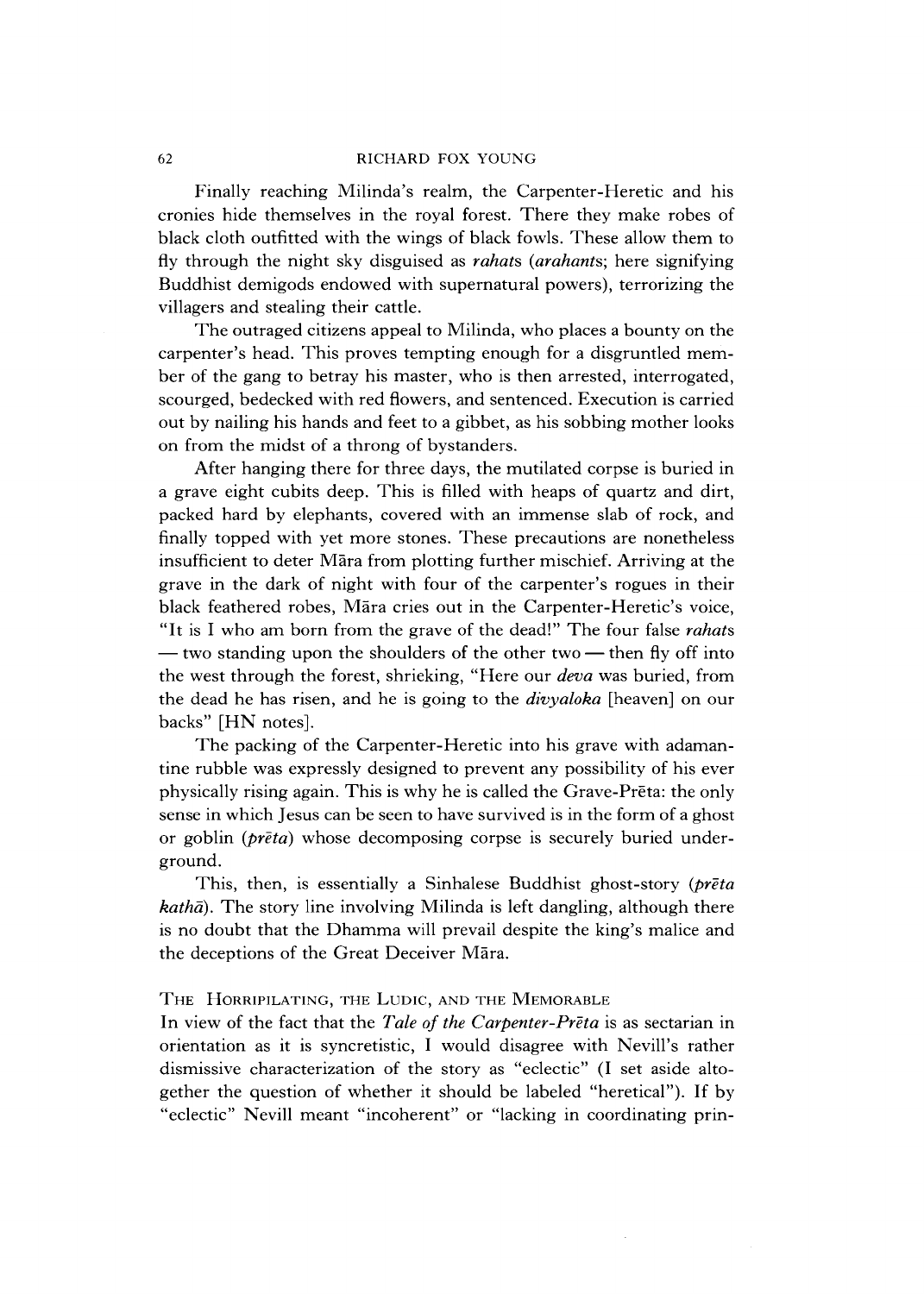Finally reaching Milinda's realm, the Carpenter-Heretic and his cronies hide themselves in the royal forest. There they make robes of black cloth outfitted with the wings of black fowls. These allow them to fly through the night sky disguised as *rahats (arahants;* here signifying Buddhist demigods endowed with supernatural powers), terrorizing the villagers and stealing their cattle.

The outraged citizens appeal to Milinda, who places a bounty on the carpenter's head. This proves tempting enough for a disgruntled member of the gang to betray his master, who is then arrested, interrogated, scourged, bedecked with red flowers, and sentenced. Execution is carried out by nailing his hands and feet to a gibbet, as his sobbing mother looks on from the midst of a throng of bystanders.

After hanging there for three days, the mutilated corpse is buried in a grave eight cubits deep. This is filled with heaps of quartz and dirt, packed hard by elephants, covered with an immense slab of rock, and finally topped with yet more stones. These precautions are nonetheless insufficient to deter Mara from plotting further mischief. Arriving at the grave in the dark of night with four of the carpenter's rogues in their black feathered robes, Māra cries out in the Carpenter-Heretic's voice, "It is I who am born from the grave of the dead!" The four false *rahats* — two standing upon the shoulders of the other two — then fly off into the west through the forest, shrieking, "Here our *deva* was buried, from the dead he has risen, and he is going to the *divyaloka* [heaven] on our backs" [HN notes].

The packing of the Carpenter-Heretic into his grave with adamantine rubble was expressly designed to prevent any possibility of his ever physically rising again. This is why he is called the Grave-Preta: the only sense in which Jesus can be seen to have survived is in the form of a ghost or goblin *(preta)* whose decomposing corpse is securely buried underground.

This, then, is essentially a Sinhalese Buddhist ghost-story *{preta katha).* The story line involving Milinda is left dangling, although there is no doubt that the Dhamma will prevail despite the king's malice and the deceptions of the Great Deceiver Māra.

# THE HORRIPILATING, THE LUDIC, AND THE MEMORABLE

In view of the fact that the *Tale of the Carpenter-Preta* is as sectarian in orientation as it is syncretistic, I would disagree with NevilFs rather dismissive characterization of the story as "eclectic" (I set aside altogether the question of whether it should be labeled "heretical"). If by "eclectic" Nevill meant "incoherent" or "lacking in coordinating prin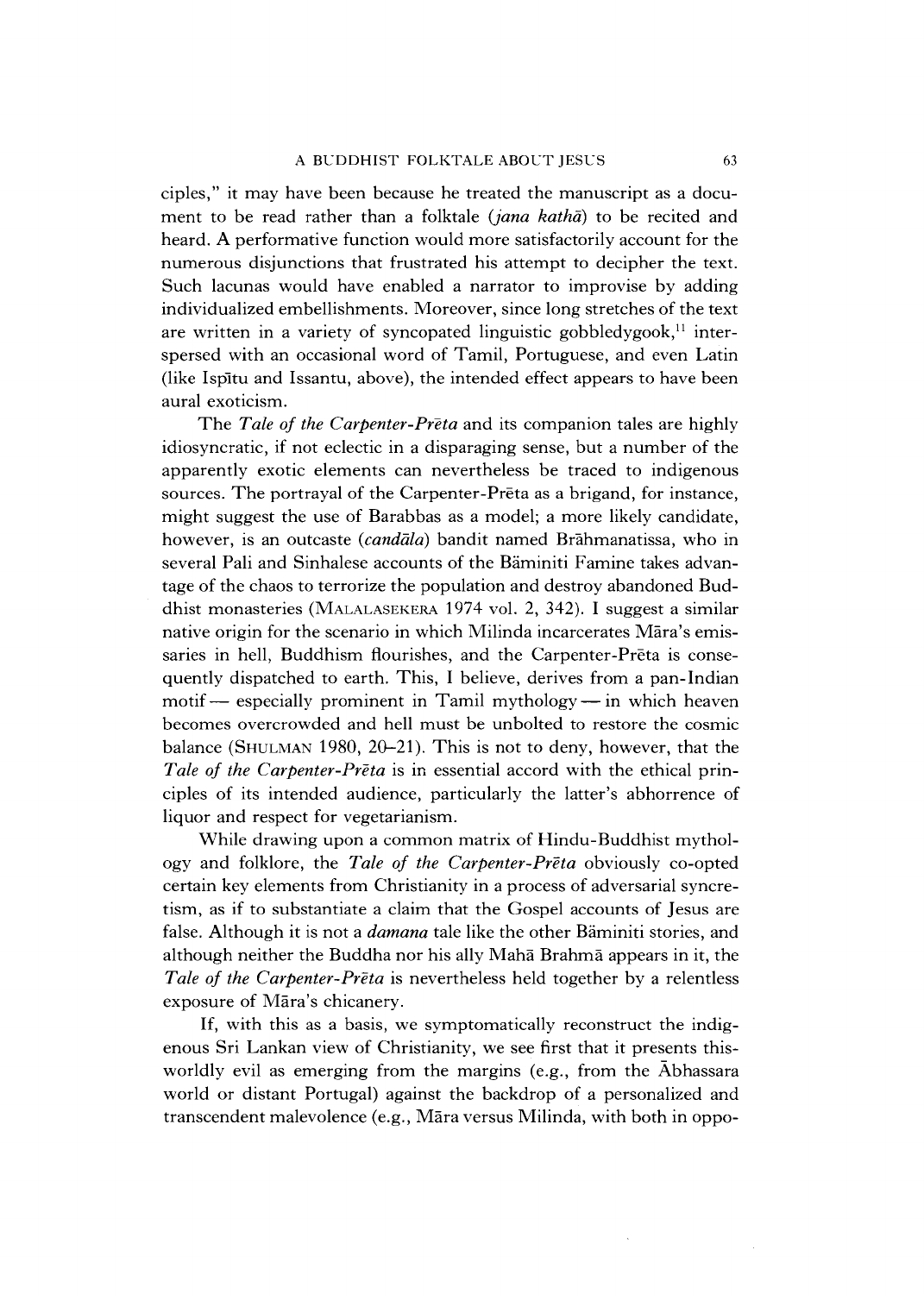ciples," it may have been because he treated the manuscript as a document to be read rather than a folktale *(jana katha)* to be recited and heard. A performative function would more satisfactorily account for the numerous disjunctions that frustrated his attempt to decipher the text. Such lacunas would have enabled a narrator to improvise by adding individualized embellishments. Moreover, since long stretches of the text are written in a variety of syncopated linguistic gobbledygook, $11$  interspersed with an occasional word of Tamil, Portuguese, and even Latin (like Ispitu and Issantu, above), the intended effect appears to have been aural exoticism.

The *Tale of the Carpenter-Preta* and its companion tales are highly idiosyncratic, if not eclectic in a disparaging sense, but a number of the apparently exotic elements can nevertheless be traced to indigenous sources. The portrayal of the Carpenter-Preta as a brigand, for instance, might suggest the use of Barabbas as a model; a more likely candidate, however, is an outcaste *(candala)* bandit named Brahmanatissa, who in several Pali and Sinhalese accounts of the Baminiti Famine takes advantage of the chaos to terrorize the population and destroy abandoned Buddhist monasteries (MALALASEKERA 1974 vol. 2, 342). I suggest a similar native origin for the scenario in which Milinda incarcerates Mara's emissaries in hell, Buddhism flourishes, and the Carpenter-Preta is consequently dispatched to earth. This, I believe, derives from a pan-Indian motif — especially prominent in Tamil mythology — in which heaven becomes overcrowded and hell must be unbolted to restore the cosmic balance (SHULMAN 1980, 20-21). This is not to deny, however, that the *Tale of the Carpenter-Preta* is in essential accord with the ethical principles of its intended audience, particularly the latter's abhorrence of liquor and respect for vegetarianism.

While drawing upon a common matrix of Hindu-Buddhist mythology and folKlore, the *Tale of the Carpenter-Preta* obviously co-opted certain key elements from Christianity in a process of adversarial syncretism, as if to substantiate a claim that the Gospel accounts of Jesus are false. Although it is not a *damana* tale like the other Bäminiti stories, and although neither the Buddha nor his ally Maha Brahma appears in it, the *Tale of the Carpenter-Preta* is nevertheless held together by a relentless exposure of Mara's chicanery.

If, with this as a basis, we symptomatically reconstruct the indigenous Sri Lankan view of Christianity, we see first that it presents thisworldly evil as emerging from the margins (e.g., from the Abhassara world or distant Portugal) against the backdrop of a personalized and transcendent malevolence (e.g., Mara versus Milinda, with both in oppo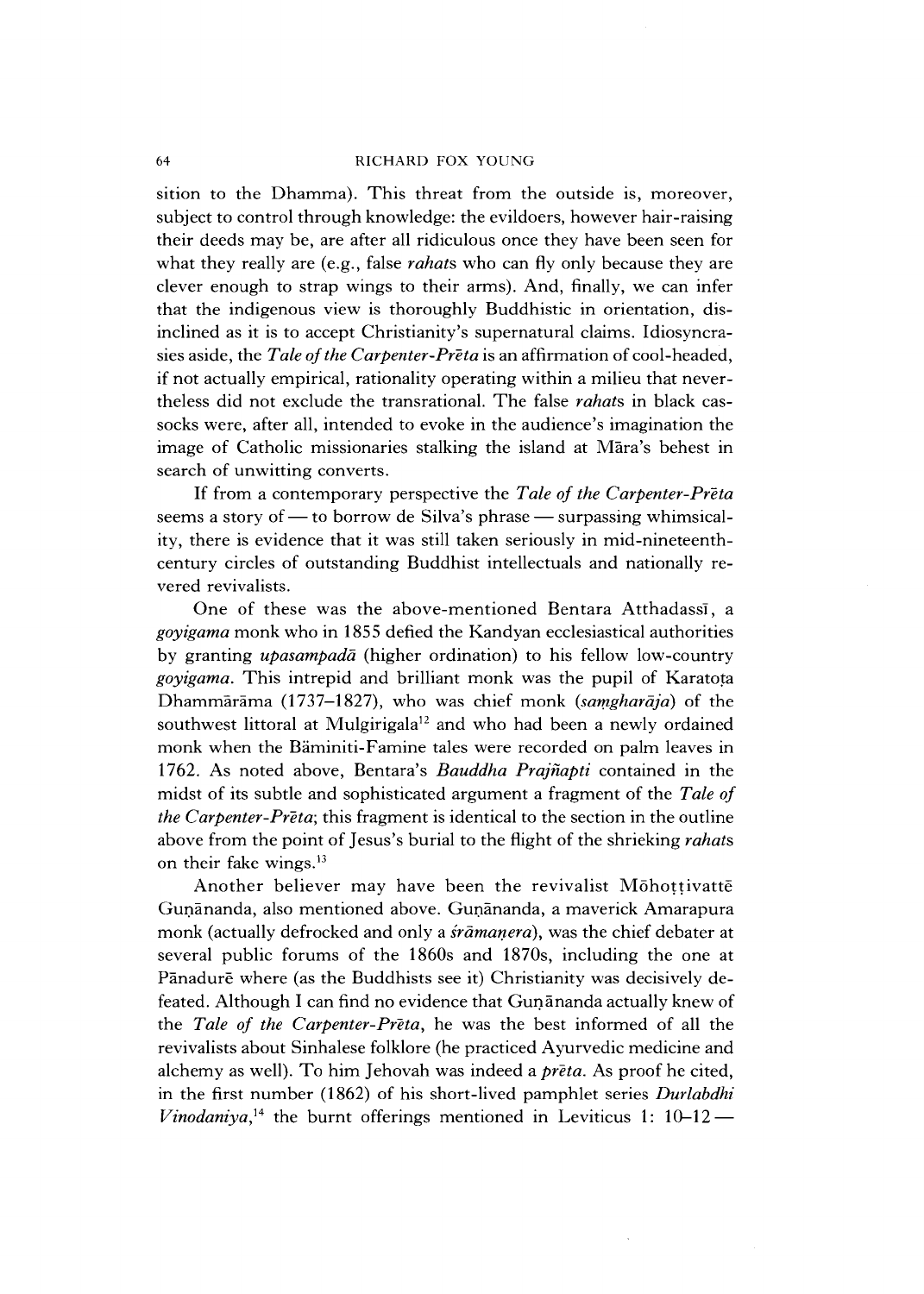sition to the Dhamma). This threat from the outside is, moreover, subject to control through knowledge: the evildoers, however hair-raising their deeds may be, are after all ridiculous once they have been seen for what they really are (e.g., false *rahats* who can fly only because they are clever enough to strap wings to their arms). And, finally, we can infer that the indigenous view is thoroughly Buddhistic in orientation, disinclined as it is to accept Christianity's supernatural claims. Idiosyncrasies aside, the *Tale of the Carpenter-Preta* is an affirmation of cool-headed, if not actually empirical, rationality operating within a milieu that nevertheless did not exclude the transrational. The false *rahats* in black cassocks were, after all, intended to evoke in the audience's imagination the image of Catholic missionaries stalking the island at Mara's behest in search of unwitting converts.

If from a contemporary perspective the *Tale of the Carpenter-Preta* seems a story of— to borrow de Silva's phrase — surpassing whimsicality, there is evidence that it was still taken seriously in mid-nineteenthcentury circles of outstanding Buddhist intellectuals and nationally revered revivalists.

One of these was the above-mentioned Bentara Atthadassi, a *goyigama* monk who in 1855 defied the Kandyan ecclesiastical authorities by granting *upasampada* (higher ordination) to his fellow low-country goyigama. This intrepid and brilliant monk was the pupil of Karatota Dhammarama (1737—1827), who was chief monk *(samgharaja)* of the southwest littoral at Mulgirigala<sup>12</sup> and who had been a newly ordained monk when the Baminiti-Famine tales were recorded on palm leaves in 1762. As noted above, Bentara^ *Bauddha Prajnapti* contained in the midst of its subtle and sophisticated argument a fragment of the *Tale of the Carpenter-Preta*; this fragment is identical to the section in the outline above from the point of Jesus's burial to the flight of the shrieking *rahats* on their fake wings.<sup>13</sup>

Another believer may have been the revivalist Mohottivatte Gunananda, also mentioned above. Gunananda, a maverick Amarapura monk (actually defrocked and only a *sramanera),* was the chief debater at several public forums of the 1860s and 1870s, including the one at Pānadurē where (as the Buddhists see it) Christianity was decisively defeated. Although I can find no evidence that Gunananda actually knew of the *Tale of the Carpenter-Preta,* he was the best informed of all the revivalists about Sinhalese folklore (he practiced Ayurvedic medicine and alchemy as well). To him Jehovah was indeed a *preta.* As proof he cited, in the first number (1862) of his short-lived pamphlet series *Durlabdhi Vinodaniya*<sup>14</sup> the burnt offerings mentioned in Leviticus 1: 10-12 —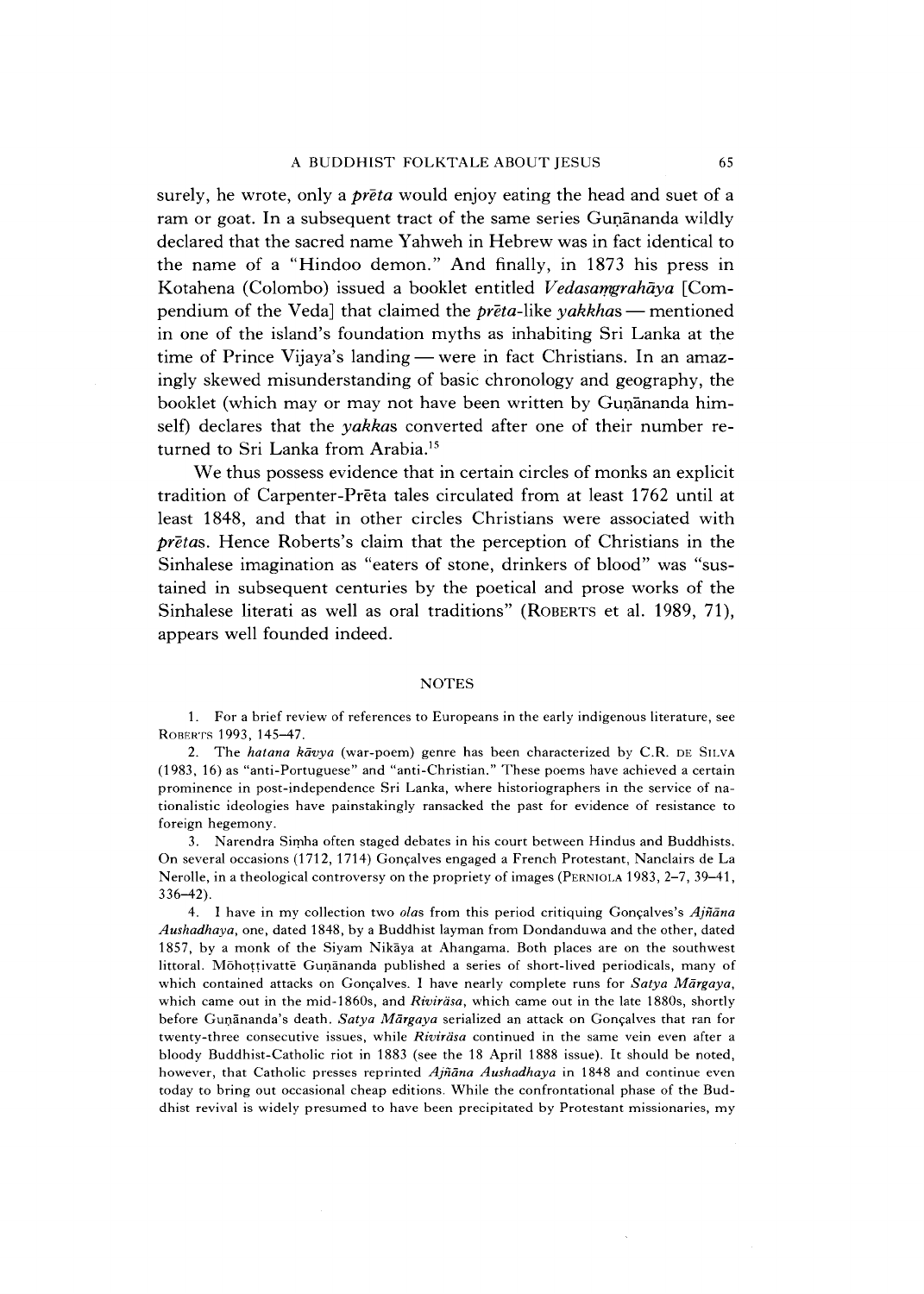surely, he wrote, only a *preta* would enjoy eating the head and suet of a ram or goat. In a subsequent tract of the same series Gunananda wildly declared that the sacred name Yahweh in Hebrew was in fact identical to the name of a "Hindoo demon." And finally, in 1873 his press in Kotahena (Colombo) issued a booklet entitled *Vedasamgrahaya* [Compendium of the Veda] that claimed the *preta-\ike yakkhas* — mentioned in one of the island's foundation myths as inhabiting Sri Lanka at the time of Prince Vijaya's landing — were in fact Christians. In an amazingly skewed misunderstanding of basic chronology and geography, the booklet (which may or may not have been written by Gunananda himself) declares that the *yakkas* converted after one of their number returned to Sri Lanka from Arabia.15

We thus possess evidence that in certain circles of monks an explicit tradition of Carpenter-Preta tales circulated from at least 1762 until at least 1848, and that in other circles Christians were associated with *pretax.* Hence Roberts's claim that the perception of Christians in the Sinhalese imagination as "eaters of stone, drinkers of blood" was "sustained in subsequent centuries by the poetical and prose works of the Sinhalese literati as well as oral traditions" (ROBERTS et al. 1989, 71), appears well founded indeed.

### **NOTES**

1 . For a brief review of references to Europeans in the early indigenous literature, see ROBERTS 1993, 145-47.

2. The *hatana kavya* (war-poem) genre has been characterized by C.R. DE SILVA (1983, 16) as "anti-Portuguese" and "anti-Christian." These poems have achieved a certain prominence in post-independence Sri Lanka, where historiographers in the service of nationalistic ideologies have painstakingly ransacked the past for evidence of resistance to foreign hegemony.

3. Narendra ^imha often staged debates in his court between Hindus and Buddhists. On several occasions (1712, 1714) Gonçalves engaged a French Protestant, Nanclairs de La Nerolle, in a theological controversy on the propriety of images (Perniola 1983, 2-7 39-41, 336-42).

4. I have in my collection two *olas* from this period critiquing Gonçalves's Ajñana *Aushadhaya,* one, dated 1848,by a Buddhist layman from Dondanduwa and the other, dated 1857,by a monk of the Siyam Nikaya at Ahangama. Both places are on the southwest littoral. Mōhottivattē Gunānanda published a series of short-lived periodicals, many of which contained attacks on Gonçalves. I have nearly complete runs for *Satya Margaya*, which came out in the mid-1860s, and *Rivirasa*, which came out in the late 1880s, shortly before Gunānanda's death. *Satya Mārgaya* serialized an attack on Gonçalves that ran for twenty-three consecutive issues, while *Rivirasa* continued in the same vein even after a bloody Buddhist-Catholic riot in 1883 (see the 18 April 1888 issue). It should be noted, however, that Catholic presses reprinted *Ajnana Aushadhaya* in 1848 and continue even today to bring out occasional cheap editions. While the confrontational phase of the Buddhist revival is widely presumed to have been precipitated by Protestant missionaries, my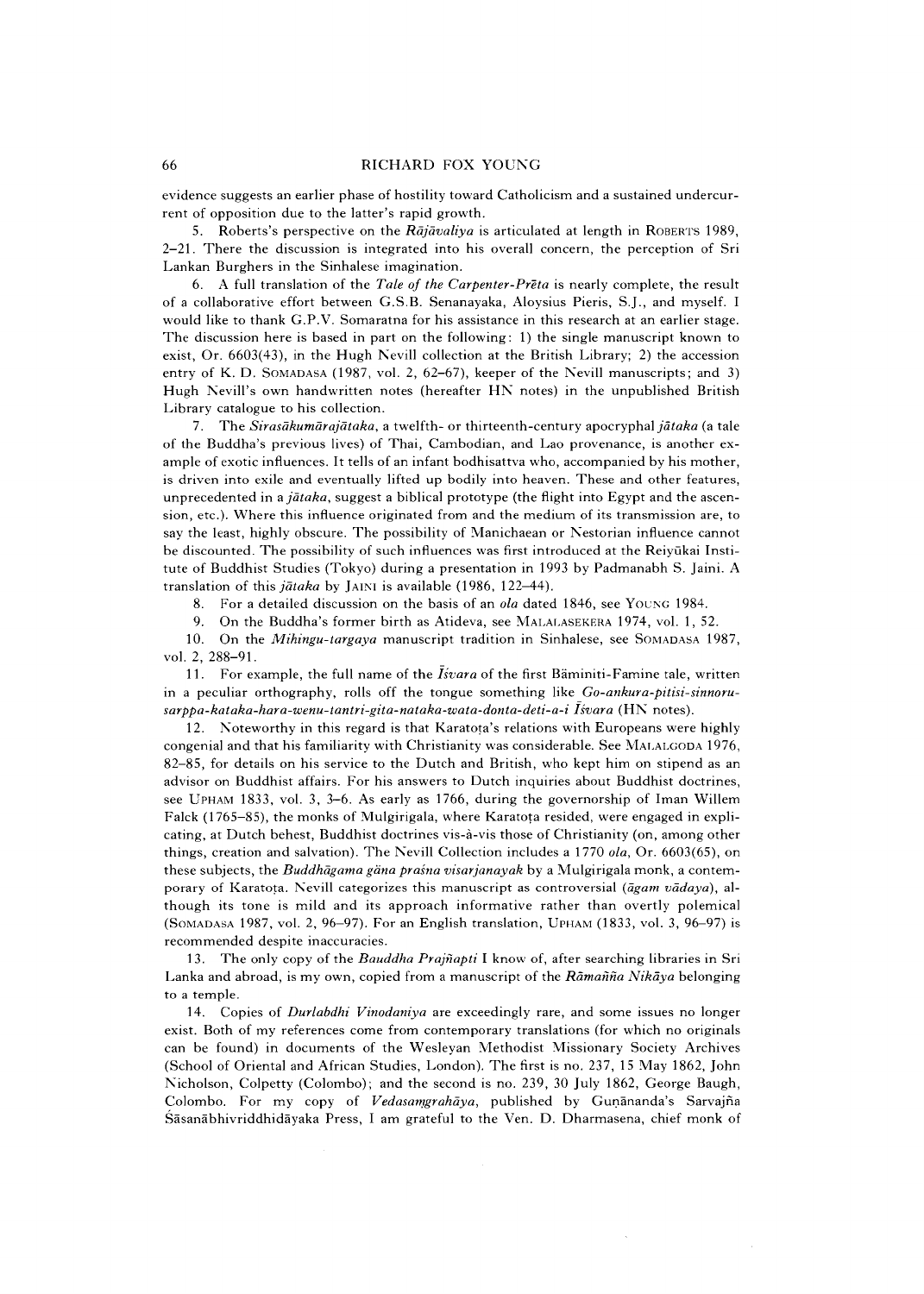evidence suggests an earlier phase of hostility toward Catholicism and a sustained undercurrent of opposition due to the latter's rapid growth.

5. Roberts's perspective on the *Rājāvaliya* is articulated at length in ROBERTS 1989, 2-21.There the discussion is integrated into his overall concern, the perception of Sri Lankan Burghers in the Sinhalese imagination.

6. A full translation of the *Tale of the Carpenter-Preta* is nearly complete, the result of a collaborative effort between G.S.B. Senanayaka, Aloysius Pieris, S.J., and myself. I would like to thank G.P.V. Somaratna for his assistance in this research at an earlier stage. The discussion here is based in part on the following: 1) the single manuscript known to exist, Or. 6603(43), in the Hugh Nevill collection at the British Library; 2) the accession entry of K. D. SOMADASA (1987, vol. 2, 62-67), keeper of the Nevill manuscripts; and 3) Hugh Nevill's own handwritten notes (hereafter HN notes) in the unpublished British Library catalogue to his collection.

7. The *Sirasakumarajataka,* a twelfth- or thirteenth-century apocryphal *jataka* (a tale of the Buddha's previous lives) of Thai, Cambodian, and Lao provenance, is another example of exotic influences. It tells of an infant bodhisattva who, accompanied by his mother, is driven into exile and eventually lifted up bodily into heaven. These and other features, unprecedented in *a jataka,* suggest a biblical prototype (the flight into Egypt and the ascension, etc.). Where this influence originated from and the medium of its transmission are, to say the least, highly obscure. The possibility of Manichaean or Nestorian influence cannot be discounted. The possibility of such influences was first introduced at the Reiyūkai Institute of Buddhist Studies (Tokyo) during a presentation in 1993 by Padmanabh S. Jaini. A translation of this *jātaka* by JAINI is available (1986, 122–44).

8. For a detailed discussion on the basis of an *ola* dated 1846, see Young 1984.

9. On the Buddha's former birth as Atideva, see MALALASEKERA 1974, vol. 1, 52.

10. On the *Mihingu-targaya* manuscript tradition in Sinhalese, see SOMADASA 1987, vol.2, 288-91.

11. For example, the full name of the *Isvara* of the first Bäminiti-Famine tale, written in a peculiar orthography, rolls off the tongue something like *Go-ankura-pitisi-sinnorusarppa-kataka-hara-wenu-tantri-gita-nataka-wata-donta-deti-a-i Isvara* (HN notes).

12. Noteworthy in this regard is that Karateka's relations with Europeans were highly congenial and that his familiarity with Christianity was considerable. See MALALGODA 1976, 82—85, for details on his service to the Dutch and British, who kept him on stipend as an advisor on Buddhist affairs. For his answers to Dutch inquiries about Buddhist doctrines, see UPHAM 1833, vol. 3, 3-6. As early as 1766, during the governorship of Iman Willem Falck (1765-85), the monks of Mulgirigala, where Karatota resided, were engaged in explicating, at Dutch behest, Buddhist doctrines vis-a-vis those of Christianity (on, among other things, creation and salvation). The Nevill Collection includes a 1770 *ola,* Or. 6603(65), on these subjects, the *Buddhagama gana prasna visarjanayak* by a Mulgirigala monk, a contemporary of Karatota. Nevill categorizes this manuscript as controversial *(agam vadaya),* although its tone is mild and its approach informative rather than overtly polemical (SOMADASA 1987, vol. 2, 96-97). For an English translation, UPHAM (1833, vol. 3, 96-97) is recommended despite inaccuracies.

13. The only copy of the *Bauddha Prajnapti* I know of, after searching libraries in Sri Lanka and abroad, is my own, copied from a manuscript of the *Ramanna Nikaya* belonging to a temple.

14. Copies of *Durlabdhi Vinodaniya* are exceedingly rare, and some issues no longer exist. Both of my references come from contemporary translations (for which no originals can be found) in documents of the Wesleyan Methodist Missionary Society Archives (School of Oriental and African Studies, London). The first is no. 237,15 May 1862, John Nicholson, Colpetty (Colombo); and the second is no. 239, 30 July 1862, George Baugh, Colombo. For my copy of *Vedasamgrahāya*, published by Gunānanda's Sarvajña Sasanabhivriddhidayaka Press, I am grateful to the Yen. D. Dharmasena, chief monk of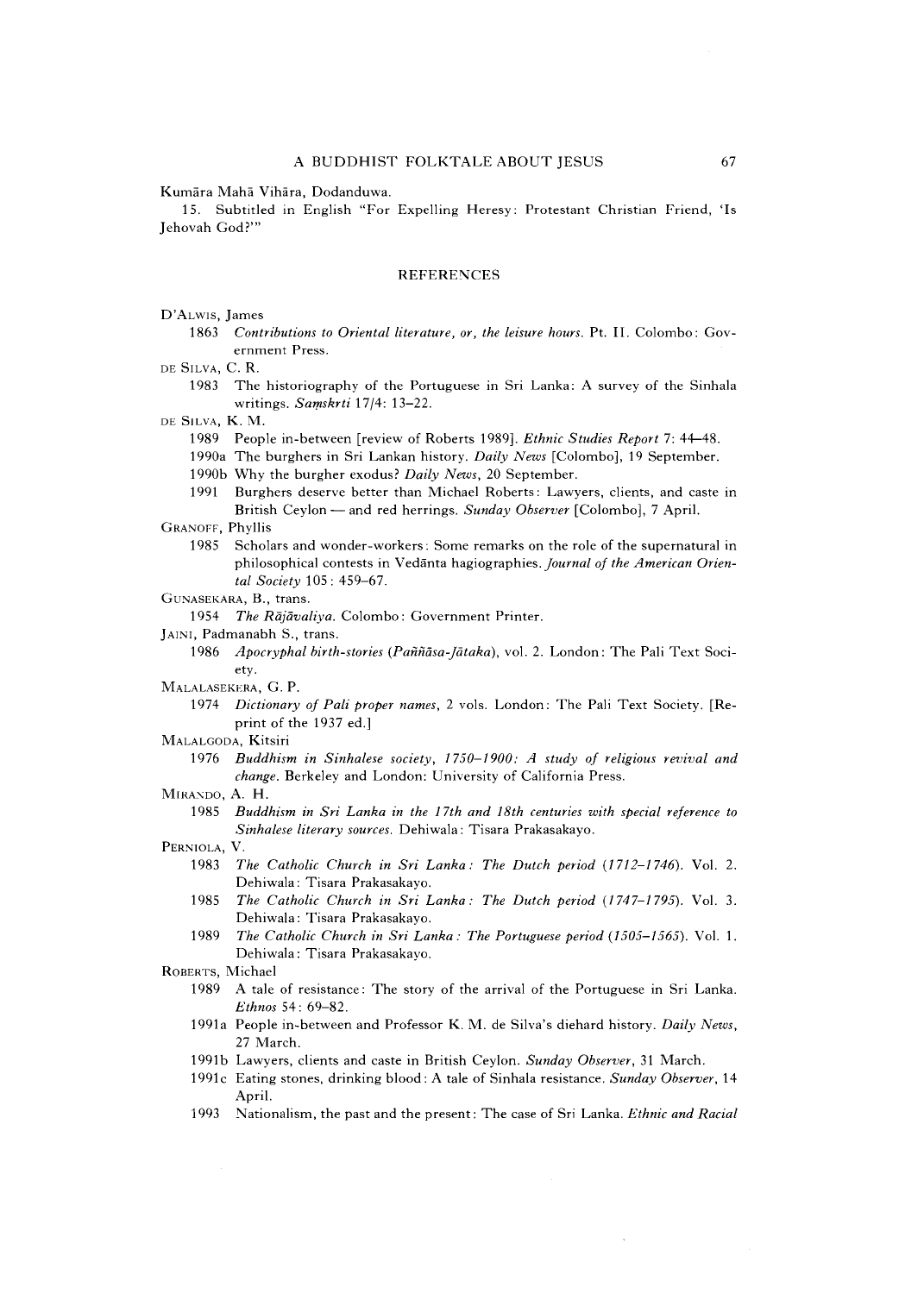Kumāra Mahā Vihāra, Dodanduwa.

15. Subtitled in English "For Expelling Heresy: Protestant Christian Friend, 'Is Jehovah God?""

#### **REFERENCES**

#### D'ALwis, James

- 1863 *Contributions to Oriental literature, or, the leisure hours.* Pt. II. Colombo: Government Press.
- de Silva, C. R.
	- 1983 The historiography of the Portuguese in Sri Lanka: A survey of the Sinhala writings. *Samskrti* 17/4:13—22.

de Silva, K. M.

- 1989 People in-between [review of Roberts 1989]. *Ethnic Studies Report* 7: 44-48.
- 1990a The burghers in Sri Lankan history. *Daily News* [Colombo],19 September.
- 1990b Why the burgher exodus? *Daily News,* 20 September.
- 1991 Burghers deserve better than Michael Roberts: Lawyers, clients, and caste in British Ceylon — and red herrings. *Sunday Observer* [Colombo], 7 April.
- GRANOFF, Phyllis
	- 1985 Scholars and wonder-workers: Some remarks on the role of the supernatural in philosophical contests in Vedanta hagiographies. *Journal of the American Oriental Society* 105: 459-67.
- GUNASEKARA, B., trans.

1954 *The Rajavaliya.* Colombo : Government Printer.

- JAINI, Padmanabh S., trans.
	- 1986 *Apocryphal birth-stories (Pannasa-Jataka*), vol.2. London : The Pali Text Society.
- MALALASEKERA, G. P.
	- 1974 *Dictionary of Pali proper names,* 2 vols. London: The Pali Text Society. [Reprint of the 1937 ed.]
- MALALGODA, Kitsiri
	- 1976 *Buddhism in Sinhalese society,1750-1900: A study of religious revival and change.* Berkeley and London: University of California Press.
- MIRANDO, A. H.

1985 *Buddhism in Sri Lanka in the 17th and 18th centuries with special reference to Sinhalese literary sources.* Dehiwala: Tisara Prakasakayo.

- Perniola, V.
	- 1983 The Catholic Church in Sri Lanka: The Dutch period (1712-1746). Vol. 2. Dehiwala: Tisara Prakasakayo.
	- 1985 *The Catholic Church in Sri Lanka: The Dutch period (1747-1795)*. Vol. 3. Dehiwala: Tisara Prakasakayo.
	- 1989 *The Catholic Church in Sri Lanka : The Portuguese period (1505-1565)*. Vol. 1. Dehiwala: Tisara Prakasakayo.

ROBERTS, Michael

- 1989 A tale of resistance: The story of the arrival of the Portuguese in Sri Lanka. *Ethnos* 54: 69-82.
- 1991a People in-between and Professor K. M. de Silva's diehard history. *Daily News,* 27 March.
- 1991b Lawyers, clients and caste in British Ceylon. *Sunday Observer,* 31 March.
- 1991c Eating stones, drinking blood: A tale of Sinhala resistance. *Sunday Observer*, 14 April.
- 1993 Nationalism, the past and the present: The case of Sri Lanka. *Ethnic and Racial*